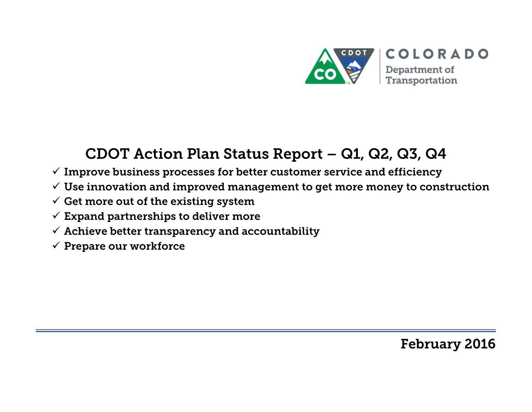

# CDOT Action Plan Status Report – Q1, Q2, Q3, Q4

- $\checkmark$  Improve business processes for better customer service and efficiency
- $\checkmark$  Use innovation and improved management to get more money to construction
- $\checkmark$  Get more out of the existing system
- $\checkmark$  Expand partnerships to deliver more
- $\checkmark$  Achieve better transparency and accountability
- $\checkmark$  Prepare our workforce

February 2016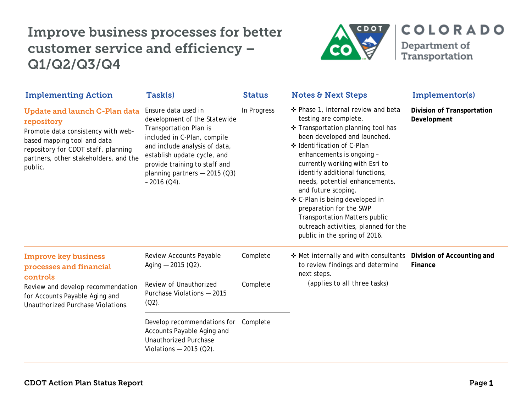

| <b>Implementing Action</b>                                                                                                                                                                                         | Task(s)                                                                                                                                                                                                                                                                 | <b>Status</b> | <b>Notes &amp; Next Steps</b>                                                                                                                                                                                                                                                                                                                                                                                                                                                                            | Implementor(s)                            |
|--------------------------------------------------------------------------------------------------------------------------------------------------------------------------------------------------------------------|-------------------------------------------------------------------------------------------------------------------------------------------------------------------------------------------------------------------------------------------------------------------------|---------------|----------------------------------------------------------------------------------------------------------------------------------------------------------------------------------------------------------------------------------------------------------------------------------------------------------------------------------------------------------------------------------------------------------------------------------------------------------------------------------------------------------|-------------------------------------------|
| <b>Update and launch C-Plan data</b><br>repository<br>Promote data consistency with web-<br>based mapping tool and data<br>repository for CDOT staff, planning<br>partners, other stakeholders, and the<br>public. | Ensure data used in<br>development of the Statewide<br><b>Transportation Plan is</b><br>included in C-Plan, compile<br>and include analysis of data,<br>establish update cycle, and<br>provide training to staff and<br>planning partners $-2015$ (Q3)<br>$-2016$ (Q4). | In Progress   | ❖ Phase 1, internal review and beta<br>testing are complete.<br>❖ Transportation planning tool has<br>been developed and launched.<br>❖ Identification of C-Plan<br>enhancements is ongoing -<br>currently working with Esri to<br>identify additional functions,<br>needs, potential enhancements,<br>and future scoping.<br>❖ C-Plan is being developed in<br>preparation for the SWP<br><b>Transportation Matters public</b><br>outreach activities, planned for the<br>public in the spring of 2016. | Division of Transportation<br>Development |
| <b>Improve key business</b><br>processes and financial<br>controls<br>Review and develop recommendation<br>for Accounts Payable Aging and<br>Unauthorized Purchase Violations.                                     | Review Accounts Payable<br>Aging $-2015$ (Q2).                                                                                                                                                                                                                          | Complete      | ❖ Met internally and with consultants<br>to review findings and determine<br>next steps.<br>(applies to all three tasks)                                                                                                                                                                                                                                                                                                                                                                                 | Division of Accounting and<br>Finance     |
|                                                                                                                                                                                                                    | Review of Unauthorized<br>Purchase Violations - 2015<br>$(Q2)$ .                                                                                                                                                                                                        | Complete      |                                                                                                                                                                                                                                                                                                                                                                                                                                                                                                          |                                           |
|                                                                                                                                                                                                                    | Develop recommendations for Complete<br>Accounts Payable Aging and<br><b>Unauthorized Purchase</b><br>Violations $-2015$ (Q2).                                                                                                                                          |               |                                                                                                                                                                                                                                                                                                                                                                                                                                                                                                          |                                           |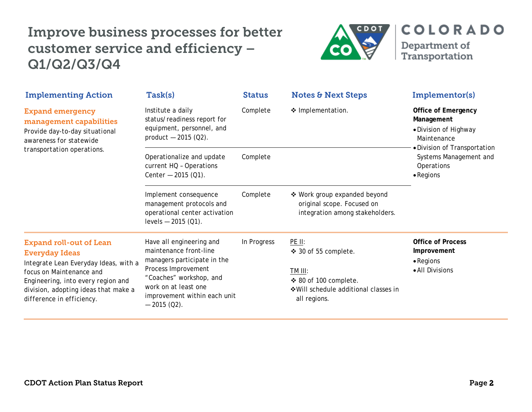

| <b>Implementing Action</b>                                                                                                                                                   | Task(s)                                                                                                                 | <b>Status</b> | <b>Notes &amp; Next Steps</b>                                                                 | Implementor(s)                                                                                                   |
|------------------------------------------------------------------------------------------------------------------------------------------------------------------------------|-------------------------------------------------------------------------------------------------------------------------|---------------|-----------------------------------------------------------------------------------------------|------------------------------------------------------------------------------------------------------------------|
| <b>Expand emergency</b><br>management capabilities<br>Provide day-to-day situational<br>awareness for statewide<br>transportation operations.                                | Institute a daily<br>status/readiness report for<br>equipment, personnel, and<br>product $-2015$ (Q2).                  | Complete      | ❖ Implementation.                                                                             | <b>Office of Emergency</b><br>Management<br>• Division of Highway<br>Maintenance<br>• Division of Transportation |
|                                                                                                                                                                              | Operationalize and update<br>current HQ - Operations<br>Center $-2015$ (Q1).                                            | Complete      |                                                                                               | Systems Management and<br>Operations<br>$\bullet$ Regions                                                        |
|                                                                                                                                                                              | Implement consequence<br>management protocols and<br>operational center activation<br>levels $-2015$ (Q1).              | Complete      | ❖ Work group expanded beyond<br>original scope. Focused on<br>integration among stakeholders. |                                                                                                                  |
| <b>Expand roll-out of Lean</b><br><b>Everyday Ideas</b>                                                                                                                      | Have all engineering and<br>maintenance front-line<br>managers participate in the                                       | In Progress   | PE II:<br>❖ 30 of 55 complete.                                                                | <b>Office of Process</b><br>Improvement<br>$\bullet$ Regions                                                     |
| Integrate Lean Everyday Ideas, with a<br>focus on Maintenance and<br>Engineering, into every region and<br>division, adopting ideas that make a<br>difference in efficiency. | Process Improvement<br>"Coaches" workshop, and<br>work on at least one<br>improvement within each unit<br>$-2015$ (Q2). |               | TM III:<br>❖ 80 of 100 complete.<br>❖ Will schedule additional classes in<br>all regions.     | • All Divisions                                                                                                  |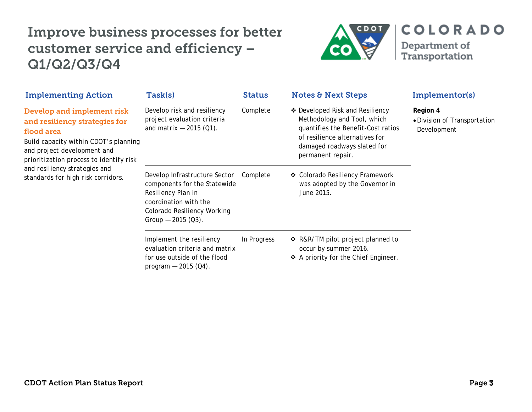

| <b>Implementing Action</b>                                                                                                                                                                                                                                          | Task(s)                                                                                                                                                            | <b>Status</b> | <b>Notes &amp; Next Steps</b>                                                                                                                                                              | Implementor(s)                                          |
|---------------------------------------------------------------------------------------------------------------------------------------------------------------------------------------------------------------------------------------------------------------------|--------------------------------------------------------------------------------------------------------------------------------------------------------------------|---------------|--------------------------------------------------------------------------------------------------------------------------------------------------------------------------------------------|---------------------------------------------------------|
| Develop and implement risk<br>and resiliency strategies for<br>flood area<br>Build capacity within CDOT's planning<br>and project development and<br>prioritization process to identify risk<br>and resiliency strategies and<br>standards for high risk corridors. | Develop risk and resiliency<br>project evaluation criteria<br>and matrix $-2015$ (Q1).                                                                             | Complete      | ❖ Developed Risk and Resiliency<br>Methodology and Tool, which<br>quantifies the Benefit-Cost ratios<br>of resilience alternatives for<br>damaged roadways slated for<br>permanent repair. | Region 4<br>• Division of Transportation<br>Development |
|                                                                                                                                                                                                                                                                     | Develop Infrastructure Sector<br>components for the Statewide<br>Resiliency Plan in<br>coordination with the<br>Colorado Resiliency Working<br>Group $-2015$ (Q3). | Complete      | ❖ Colorado Resiliency Framework<br>was adopted by the Governor in<br>June 2015.                                                                                                            |                                                         |
|                                                                                                                                                                                                                                                                     | Implement the resiliency<br>evaluation criteria and matrix<br>for use outside of the flood<br>program $-$ 2015 (Q4).                                               | In Progress   | ❖ R&R/TM pilot project planned to<br>occur by summer 2016.<br>❖ A priority for the Chief Engineer.                                                                                         |                                                         |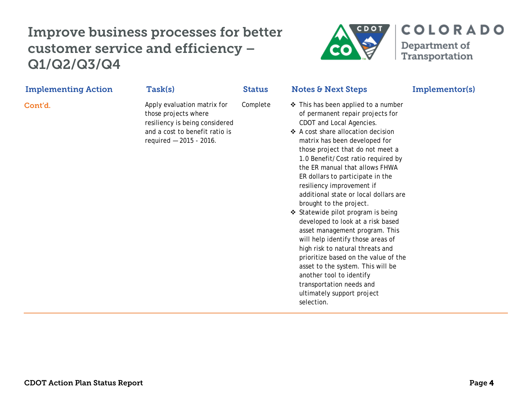

ultimately support project

selection.

| <b>Implementing Action</b> | Task(s)                                                                                                                                            | <b>Status</b> | <b>Notes &amp; Next Steps</b>                                                                                                                                                                                                                                                                                                                                                                                                                                                                                                                                                                                                                                                                                                                          | Implementor(s) |
|----------------------------|----------------------------------------------------------------------------------------------------------------------------------------------------|---------------|--------------------------------------------------------------------------------------------------------------------------------------------------------------------------------------------------------------------------------------------------------------------------------------------------------------------------------------------------------------------------------------------------------------------------------------------------------------------------------------------------------------------------------------------------------------------------------------------------------------------------------------------------------------------------------------------------------------------------------------------------------|----------------|
| Cont'd.                    | Apply evaluation matrix for<br>those projects where<br>resiliency is being considered<br>and a cost to benefit ratio is<br>required - 2015 - 2016. | Complete      | ❖ This has been applied to a number<br>of permanent repair projects for<br>CDOT and Local Agencies.<br>❖ A cost share allocation decision<br>matrix has been developed for<br>those project that do not meet a<br>1.0 Benefit/Cost ratio required by<br>the ER manual that allows FHWA<br>ER dollars to participate in the<br>resiliency improvement if<br>additional state or local dollars are<br>brought to the project.<br>❖ Statewide pilot program is being<br>developed to look at a risk based<br>asset management program. This<br>will help identify those areas of<br>high risk to natural threats and<br>prioritize based on the value of the<br>asset to the system. This will be<br>another tool to identify<br>transportation needs and |                |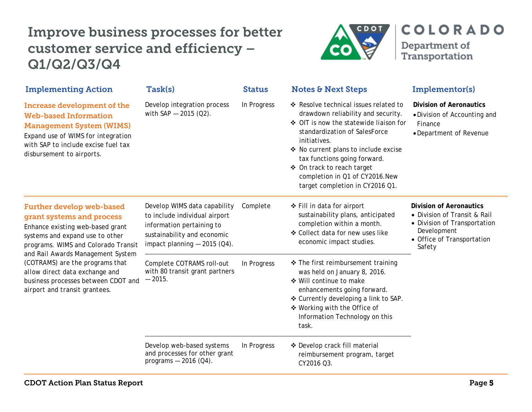

| <b>Implementing Action</b>                                                                                                                                                                                                                                                                                                                                    | Task(s)                                                                                                                                                     | <b>Status</b> | <b>Notes &amp; Next Steps</b>                                                                                                                                                                                                                                                                                                                     | Implementor(s)                                                                                                                                        |
|---------------------------------------------------------------------------------------------------------------------------------------------------------------------------------------------------------------------------------------------------------------------------------------------------------------------------------------------------------------|-------------------------------------------------------------------------------------------------------------------------------------------------------------|---------------|---------------------------------------------------------------------------------------------------------------------------------------------------------------------------------------------------------------------------------------------------------------------------------------------------------------------------------------------------|-------------------------------------------------------------------------------------------------------------------------------------------------------|
| Increase development of the<br><b>Web-based Information</b><br><b>Management System (WIMS)</b><br>Expand use of WIMS for integration<br>with SAP to include excise fuel tax<br>disbursement to airports.                                                                                                                                                      | Develop integration process<br>with $SAP - 2015 (Q2)$ .                                                                                                     | In Progress   | ❖ Resolve technical issues related to<br>drawdown reliability and security.<br>♦ OIT is now the statewide liaison for<br>standardization of SalesForce<br>initiatives.<br>❖ No current plans to include excise<br>tax functions going forward.<br>❖ On track to reach target<br>completion in Q1 of CY2016.New<br>target completion in CY2016 Q1. | <b>Division of Aeronautics</b><br>. Division of Accounting and<br>Finance<br>• Department of Revenue                                                  |
| <b>Further develop web-based</b><br>grant systems and process<br>Enhance existing web-based grant<br>systems and expand use to other<br>programs. WIMS and Colorado Transit<br>and Rail Awards Management System<br>(COTRAMS) are the programs that<br>allow direct data exchange and<br>business processes between CDOT and<br>airport and transit grantees. | Develop WIMS data capability<br>to include individual airport<br>information pertaining to<br>sustainability and economic<br>impact planning $-$ 2015 (Q4). | Complete      | ❖ Fill in data for airport<br>sustainability plans, anticipated<br>completion within a month.<br>❖ Collect data for new uses like<br>economic impact studies.                                                                                                                                                                                     | <b>Division of Aeronautics</b><br>• Division of Transit & Rail<br>• Division of Transportation<br>Development<br>• Office of Transportation<br>Safety |
|                                                                                                                                                                                                                                                                                                                                                               | Complete COTRAMS roll-out<br>with 80 transit grant partners<br>$-2015.$                                                                                     | In Progress   | ❖ The first reimbursement training<br>was held on January 8, 2016.<br>❖ Will continue to make<br>enhancements going forward.<br>❖ Currently developing a link to SAP.<br>❖ Working with the Office of<br>Information Technology on this<br>task.                                                                                                  |                                                                                                                                                       |
|                                                                                                                                                                                                                                                                                                                                                               | Develop web-based systems<br>and processes for other grant<br>programs $-2016$ (Q4).                                                                        | In Progress   | ❖ Develop crack fill material<br>reimbursement program, target<br>CY2016 Q3.                                                                                                                                                                                                                                                                      |                                                                                                                                                       |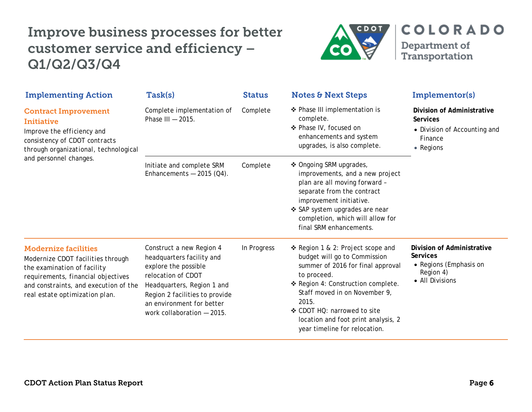

| <b>Implementing Action</b>                                                                                                                                                                                       | Task(s)                                                                                                                                                                                                                        | <b>Status</b> | <b>Notes &amp; Next Steps</b>                                                                                                                                                                                                                                                                                | Implementor(s)                                                                                          |
|------------------------------------------------------------------------------------------------------------------------------------------------------------------------------------------------------------------|--------------------------------------------------------------------------------------------------------------------------------------------------------------------------------------------------------------------------------|---------------|--------------------------------------------------------------------------------------------------------------------------------------------------------------------------------------------------------------------------------------------------------------------------------------------------------------|---------------------------------------------------------------------------------------------------------|
| <b>Contract Improvement</b><br>Initiative<br>Improve the efficiency and<br>consistency of CDOT contracts<br>through organizational, technological<br>and personnel changes.                                      | Complete implementation of<br>Phase III - 2015.                                                                                                                                                                                | Complete      | ❖ Phase III implementation is<br>complete.<br>❖ Phase IV, focused on<br>enhancements and system<br>upgrades, is also complete.                                                                                                                                                                               | Division of Administrative<br><b>Services</b><br>• Division of Accounting and<br>Finance<br>• Regions   |
|                                                                                                                                                                                                                  | Initiate and complete SRM<br>Enhancements $-2015$ (Q4).                                                                                                                                                                        | Complete      | ❖ Ongoing SRM upgrades,<br>improvements, and a new project<br>plan are all moving forward -<br>separate from the contract<br>improvement initiative.<br>❖ SAP system upgrades are near<br>completion, which will allow for<br>final SRM enhancements.                                                        |                                                                                                         |
| <b>Modernize facilities</b><br>Modernize CDOT facilities through<br>the examination of facility<br>requirements, financial objectives<br>and constraints, and execution of the<br>real estate optimization plan. | Construct a new Region 4<br>headquarters facility and<br>explore the possible<br>relocation of CDOT<br>Headquarters, Region 1 and<br>Region 2 facilities to provide<br>an environment for better<br>work collaboration - 2015. | In Progress   | ❖ Region 1 & 2: Project scope and<br>budget will go to Commission<br>summer of 2016 for final approval<br>to proceed.<br>❖ Region 4: Construction complete.<br>Staff moved in on November 9,<br>2015.<br>❖ CDOT HQ: narrowed to site<br>location and foot print analysis, 2<br>year timeline for relocation. | Division of Administrative<br><b>Services</b><br>• Regions (Emphasis on<br>Region 4)<br>• All Divisions |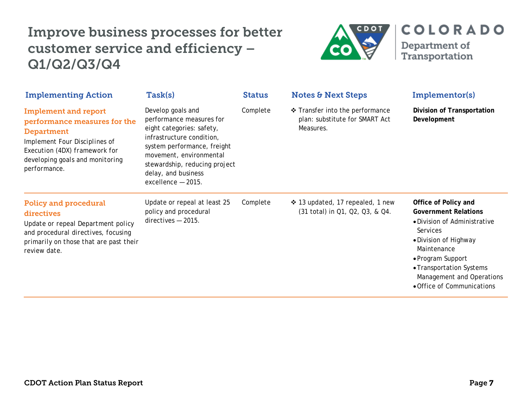

| <b>Implementing Action</b>                                                                                                                                                                            | Task(s)                                                                                                                                                                                                                                         | <b>Status</b> | <b>Notes &amp; Next Steps</b>                                                | Implementor(s)                                                                                                                                                                                                                                             |
|-------------------------------------------------------------------------------------------------------------------------------------------------------------------------------------------------------|-------------------------------------------------------------------------------------------------------------------------------------------------------------------------------------------------------------------------------------------------|---------------|------------------------------------------------------------------------------|------------------------------------------------------------------------------------------------------------------------------------------------------------------------------------------------------------------------------------------------------------|
| <b>Implement and report</b><br>performance measures for the<br><b>Department</b><br>Implement Four Disciplines of<br>Execution (4DX) framework for<br>developing goals and monitoring<br>performance. | Develop goals and<br>performance measures for<br>eight categories: safety,<br>infrastructure condition,<br>system performance, freight<br>movement, environmental<br>stewardship, reducing project<br>delay, and business<br>excellence - 2015. | Complete      | Transfer into the performance<br>plan: substitute for SMART Act<br>Measures. | Division of Transportation<br>Development                                                                                                                                                                                                                  |
| <b>Policy and procedural</b><br>directives<br>Update or repeal Department policy<br>and procedural directives, focusing<br>primarily on those that are past their<br>review date.                     | Update or repeal at least 25<br>policy and procedural<br>$directives - 2015$ .                                                                                                                                                                  | Complete      | ❖ 13 updated, 17 repealed, 1 new<br>(31 total) in Q1, Q2, Q3, & Q4.          | Office of Policy and<br><b>Government Relations</b><br>• Division of Administrative<br><b>Services</b><br>• Division of Highway<br>Maintenance<br>• Program Support<br>• Transportation Systems<br>Management and Operations<br>• Office of Communications |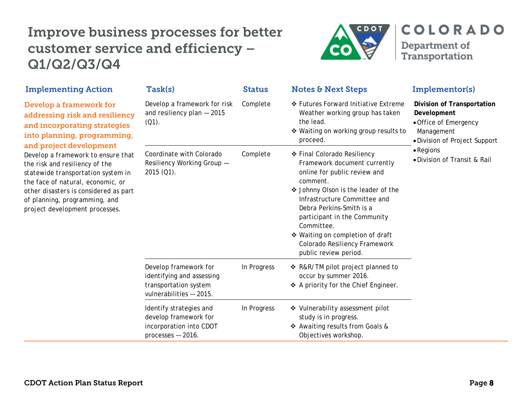

| <b>Implementing Action</b>                                                                                                                                                                                                                                                                                                                                                                                         | <b>Task(s)</b>                                                                                         | <b>Status</b> | <b>Notes &amp; Next Steps</b>                                                                                                                                                                                                                                                                                                                          | Implementor(s)                                                                                                           |
|--------------------------------------------------------------------------------------------------------------------------------------------------------------------------------------------------------------------------------------------------------------------------------------------------------------------------------------------------------------------------------------------------------------------|--------------------------------------------------------------------------------------------------------|---------------|--------------------------------------------------------------------------------------------------------------------------------------------------------------------------------------------------------------------------------------------------------------------------------------------------------------------------------------------------------|--------------------------------------------------------------------------------------------------------------------------|
| Develop a framework for<br>addressing risk and resiliency<br>and incorporating strategies<br>into planning, programming,<br>and project development<br>Develop a framework to ensure that<br>the risk and resiliency of the<br>statewide transportation system in<br>the face of natural, economic, or<br>other disasters is considered as part<br>of planning, programming, and<br>project development processes. | Develop a framework for risk<br>and resiliency plan $-2015$<br>$(Q1)$ .                                | Complete      | ❖ Futures Forward Initiative Extreme<br>Weather working group has taken<br>the lead.<br>❖ Waiting on working group results to<br>proceed.                                                                                                                                                                                                              | <b>Division of Transportation</b><br>Development<br>• Office of Emergency<br>Management<br>• Division of Project Support |
|                                                                                                                                                                                                                                                                                                                                                                                                                    | Coordinate with Colorado<br>Resiliency Working Group -<br>$2015(01)$ .                                 | Complete      | ❖ Final Colorado Resiliency<br>Framework document currently<br>online for public review and<br>comment.<br>❖ Johnny Olson is the leader of the<br>Infrastructure Committee and<br>Debra Perkins-Smith is a<br>participant in the Community<br>Committee.<br>❖ Waiting on completion of draft<br>Colorado Resiliency Framework<br>public review period. | $\bullet$ Regions<br>• Division of Transit & Rail                                                                        |
|                                                                                                                                                                                                                                                                                                                                                                                                                    | Develop framework for<br>identifying and assessing<br>transportation system<br>vulnerabilities - 2015. | In Progress   | ❖ R&R/TM pilot project planned to<br>occur by summer 2016.<br>❖ A priority for the Chief Engineer.                                                                                                                                                                                                                                                     |                                                                                                                          |
|                                                                                                                                                                                                                                                                                                                                                                                                                    | Identify strategies and<br>develop framework for<br>incorporation into CDOT<br>$processes - 2016$ .    | In Progress   | ❖ Vulnerability assessment pilot<br>study is in progress.<br>❖ Awaiting results from Goals &<br>Objectives workshop.                                                                                                                                                                                                                                   |                                                                                                                          |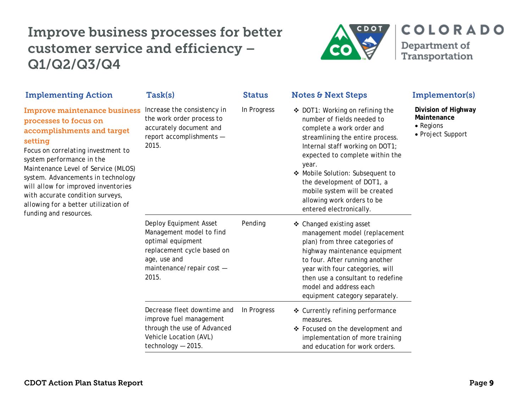

| <b>Implementing Action</b>                                                                                                                                                                                                                                                                                                                                                                         | Task(s)                                                                                                                                                     | <b>Status</b> | <b>Notes &amp; Next Steps</b>                                                                                                                                                                                                                                                                                                                                             | Implementor(s)                                                       |  |
|----------------------------------------------------------------------------------------------------------------------------------------------------------------------------------------------------------------------------------------------------------------------------------------------------------------------------------------------------------------------------------------------------|-------------------------------------------------------------------------------------------------------------------------------------------------------------|---------------|---------------------------------------------------------------------------------------------------------------------------------------------------------------------------------------------------------------------------------------------------------------------------------------------------------------------------------------------------------------------------|----------------------------------------------------------------------|--|
| <b>Improve maintenance business</b><br>processes to focus on<br>accomplishments and target<br>setting<br>Focus on correlating investment to<br>system performance in the<br>Maintenance Level of Service (MLOS)<br>system. Advancements in technology<br>will allow for improved inventories<br>with accurate condition surveys,<br>allowing for a better utilization of<br>funding and resources. | Increase the consistency in<br>the work order process to<br>accurately document and<br>report accomplishments -<br>2015.                                    | In Progress   | ❖ DOT1: Working on refining the<br>number of fields needed to<br>complete a work order and<br>streamlining the entire process.<br>Internal staff working on DOT1;<br>expected to complete within the<br>year.<br>❖ Mobile Solution: Subsequent to<br>the development of DOT1, a<br>mobile system will be created<br>allowing work orders to be<br>entered electronically. | Division of Highway<br>Maintenance<br>• Regions<br>• Project Support |  |
|                                                                                                                                                                                                                                                                                                                                                                                                    | Deploy Equipment Asset<br>Management model to find<br>optimal equipment<br>replacement cycle based on<br>age, use and<br>maintenance/repair cost -<br>2015. |               | ❖ Changed existing asset<br>management model (replacement<br>plan) from three categories of<br>highway maintenance equipment<br>to four. After running another<br>year with four categories, will<br>then use a consultant to redefine<br>model and address each<br>equipment category separately.                                                                        |                                                                      |  |
|                                                                                                                                                                                                                                                                                                                                                                                                    | Decrease fleet downtime and<br>improve fuel management<br>through the use of Advanced<br>Vehicle Location (AVL)<br>technology - 2015.                       | In Progress   | ❖ Currently refining performance<br>measures.<br>❖ Focused on the development and<br>implementation of more training<br>and education for work orders.                                                                                                                                                                                                                    |                                                                      |  |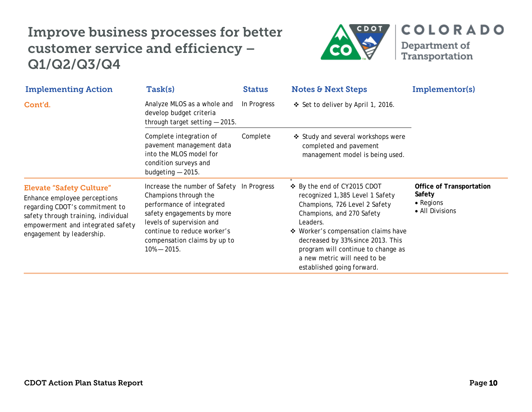

| <b>Implementing Action</b>                                                                                                                                                                                 | Task(s)                                                                                                                                                                                                                                      | <b>Status</b> | <b>Notes &amp; Next Steps</b>                                                                                                                                                                                                                                                                                                                  | Implementor(s)                                                            |
|------------------------------------------------------------------------------------------------------------------------------------------------------------------------------------------------------------|----------------------------------------------------------------------------------------------------------------------------------------------------------------------------------------------------------------------------------------------|---------------|------------------------------------------------------------------------------------------------------------------------------------------------------------------------------------------------------------------------------------------------------------------------------------------------------------------------------------------------|---------------------------------------------------------------------------|
| Cont'd.                                                                                                                                                                                                    | Analyze MLOS as a whole and<br>develop budget criteria<br>through target setting $-2015$ .                                                                                                                                                   | In Progress   | ❖ Set to deliver by April 1, 2016.                                                                                                                                                                                                                                                                                                             |                                                                           |
|                                                                                                                                                                                                            | Complete integration of<br>pavement management data<br>into the MLOS model for<br>condition surveys and<br>budgeting $-2015$ .                                                                                                               | Complete      | ❖ Study and several workshops were<br>completed and pavement<br>management model is being used.                                                                                                                                                                                                                                                |                                                                           |
| <b>Elevate "Safety Culture"</b><br>Enhance employee perceptions<br>regarding CDOT's commitment to<br>safety through training, individual<br>empowerment and integrated safety<br>engagement by leadership. | Increase the number of Safety In Progress<br>Champions through the<br>performance of integrated<br>safety engagements by more<br>levels of supervision and<br>continue to reduce worker's<br>compensation claims by up to<br>$10\% - 2015$ . |               | $\overline{\cdot}$<br>❖ By the end of CY2015 CDOT<br>recognized 1,385 Level 1 Safety<br>Champions, 726 Level 2 Safety<br>Champions, and 270 Safety<br>Leaders.<br>❖ Worker's compensation claims have<br>decreased by 33% since 2013. This<br>program will continue to change as<br>a new metric will need to be<br>established going forward. | <b>Office of Transportation</b><br>Safety<br>• Regions<br>• All Divisions |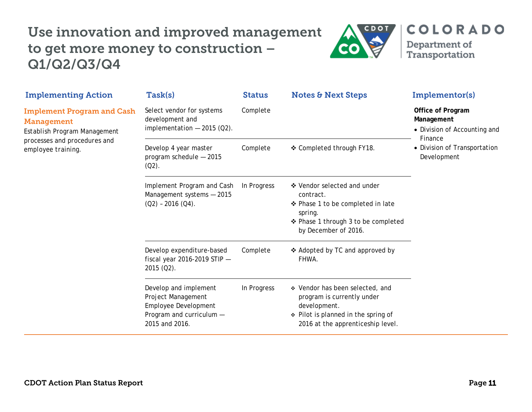# Use innovation and improved management to get more money to construction – Q1/Q2/Q3/Q4



**COLORADO** 

Department of Transportation

| Task(s)                                                                                                           | <b>Status</b> | <b>Notes &amp; Next Steps</b>                                                                                                                             | Implementor(s)                                                             |
|-------------------------------------------------------------------------------------------------------------------|---------------|-----------------------------------------------------------------------------------------------------------------------------------------------------------|----------------------------------------------------------------------------|
| Select vendor for systems<br>development and<br>implementation $-2015$ (Q2).                                      | Complete      |                                                                                                                                                           | Office of Program<br>Management<br>• Division of Accounting and<br>Finance |
| Develop 4 year master<br>program schedule - 2015<br>$(Q2)$ .                                                      | Complete      | ❖ Completed through FY18.                                                                                                                                 | • Division of Transportation<br>Development                                |
| Implement Program and Cash<br>Management systems - 2015<br>$(Q2) - 2016 (Q4)$ .                                   | In Progress   | ❖ Vendor selected and under<br>contract.<br>❖ Phase 1 to be completed in late<br>spring.<br>❖ Phase 1 through 3 to be completed<br>by December of 2016.   |                                                                            |
| Develop expenditure-based<br>fiscal year 2016-2019 STIP $-$<br>$2015 (Q2)$ .                                      | Complete      | ❖ Adopted by TC and approved by<br>FHWA.                                                                                                                  |                                                                            |
| Develop and implement<br>Project Management<br>Employee Development<br>Program and curriculum -<br>2015 and 2016. | In Progress   | ❖ Vendor has been selected, and<br>program is currently under<br>development.<br>❖ Pilot is planned in the spring of<br>2016 at the apprenticeship level. |                                                                            |
|                                                                                                                   |               |                                                                                                                                                           |                                                                            |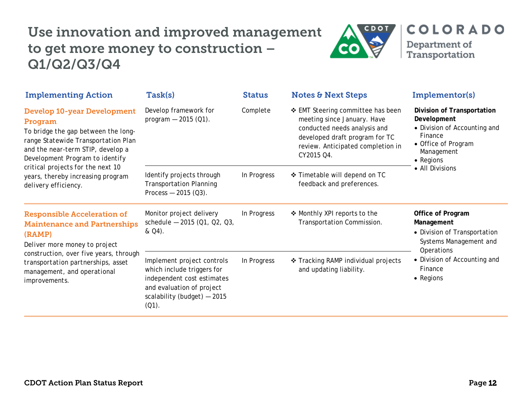# Use innovation and improved management to get more money to construction – Q1/Q2/Q3/Q4



| <b>Implementing Action</b>                                                                                                                                                                                                                                                                            | Task(s)                                                                                                                                                        | <b>Status</b> | <b>Notes &amp; Next Steps</b>                                                                                                                                                         | Implementor(s)                                                                                                                                                  |
|-------------------------------------------------------------------------------------------------------------------------------------------------------------------------------------------------------------------------------------------------------------------------------------------------------|----------------------------------------------------------------------------------------------------------------------------------------------------------------|---------------|---------------------------------------------------------------------------------------------------------------------------------------------------------------------------------------|-----------------------------------------------------------------------------------------------------------------------------------------------------------------|
| <b>Develop 10-year Development</b><br>Program<br>To bridge the gap between the long-<br>range Statewide Transportation Plan<br>and the near-term STIP, develop a<br>Development Program to identify<br>critical projects for the next 10<br>years, thereby increasing program<br>delivery efficiency. | Develop framework for<br>program $-2015$ (Q1).                                                                                                                 | Complete      | ❖ EMT Steering committee has been<br>meeting since January. Have<br>conducted needs analysis and<br>developed draft program for TC<br>review. Anticipated completion in<br>CY2015 Q4. | <b>Division of Transportation</b><br>Development<br>• Division of Accounting and<br>Finance<br>• Office of Program<br>Management<br>• Regions                   |
|                                                                                                                                                                                                                                                                                                       | Identify projects through<br><b>Transportation Planning</b><br>Process $-2015$ (Q3).                                                                           | In Progress   | ❖ Timetable will depend on TC<br>feedback and preferences.                                                                                                                            | • All Divisions                                                                                                                                                 |
| <b>Responsible Acceleration of</b><br><b>Maintenance and Partnerships</b><br>(RAMP)<br>Deliver more money to project<br>construction, over five years, through<br>transportation partnerships, asset<br>management, and operational<br>improvements.                                                  | Monitor project delivery<br>schedule - 2015 (Q1, Q2, Q3,<br>& Q4).                                                                                             | In Progress   | ❖ Monthly XPI reports to the<br>Transportation Commission.                                                                                                                            | Office of Program<br>Management<br>• Division of Transportation<br>Systems Management and<br>Operations<br>• Division of Accounting and<br>Finance<br>• Regions |
|                                                                                                                                                                                                                                                                                                       | Implement project controls<br>which include triggers for<br>independent cost estimates<br>and evaluation of project<br>scalability (budget) - 2015<br>$(Q1)$ . | In Progress   | ❖ Tracking RAMP individual projects<br>and updating liability.                                                                                                                        |                                                                                                                                                                 |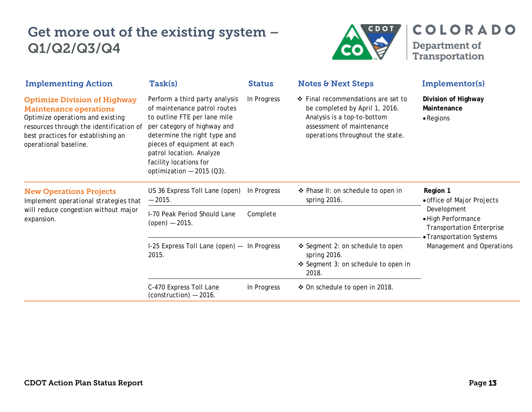

| <b>Implementing Action</b>                                                                                                                                                                                         | Task(s)                                                                                                                                                                                                                                                                          | <b>Status</b> | <b>Notes &amp; Next Steps</b>                                                                                                                                        | Implementor(s)                                                                                                                                                           |
|--------------------------------------------------------------------------------------------------------------------------------------------------------------------------------------------------------------------|----------------------------------------------------------------------------------------------------------------------------------------------------------------------------------------------------------------------------------------------------------------------------------|---------------|----------------------------------------------------------------------------------------------------------------------------------------------------------------------|--------------------------------------------------------------------------------------------------------------------------------------------------------------------------|
| <b>Optimize Division of Highway</b><br><b>Maintenance operations</b><br>Optimize operations and existing<br>resources through the identification of<br>best practices for establishing an<br>operational baseline. | Perform a third party analysis<br>of maintenance patrol routes<br>to outline FTE per lane mile<br>per category of highway and<br>determine the right type and<br>pieces of equipment at each<br>patrol location. Analyze<br>facility locations for<br>optimization $-2015$ (Q3). | In Progress   | ❖ Final recommendations are set to<br>be completed by April 1, 2016.<br>Analysis is a top-to-bottom<br>assessment of maintenance<br>operations throughout the state. | Division of Highway<br>Maintenance<br>$\bullet$ Regions                                                                                                                  |
| <b>New Operations Projects</b><br>Implement operational strategies that<br>will reduce congestion without major<br>expansion.                                                                                      | US 36 Express Toll Lane (open)<br>$-2015.$                                                                                                                                                                                                                                       | In Progress   | ❖ Phase II: on schedule to open in<br>spring 2016.                                                                                                                   | Region 1<br>• office of Major Projects<br>Development<br>· High Performance<br><b>Transportation Enterprise</b><br>• Transportation Systems<br>Management and Operations |
|                                                                                                                                                                                                                    | I-70 Peak Period Should Lane<br>$(open) - 2015.$                                                                                                                                                                                                                                 | Complete      |                                                                                                                                                                      |                                                                                                                                                                          |
|                                                                                                                                                                                                                    | I-25 Express Toll Lane (open) - In Progress<br>2015.                                                                                                                                                                                                                             |               | ❖ Segment 2: on schedule to open<br>spring 2016.<br>❖ Segment 3: on schedule to open in<br>2018.                                                                     |                                                                                                                                                                          |
|                                                                                                                                                                                                                    | C-470 Express Toll Lane<br>$(construction) - 2016.$                                                                                                                                                                                                                              | In Progress   | ❖ On schedule to open in 2018.                                                                                                                                       |                                                                                                                                                                          |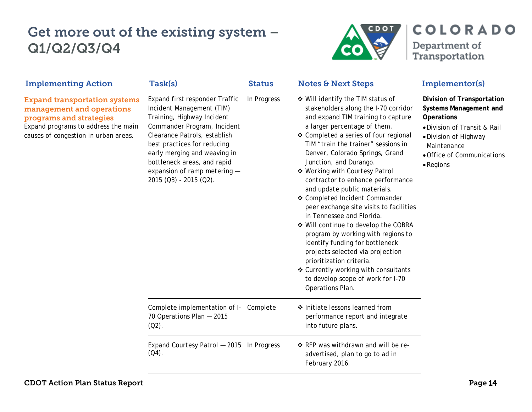

| <b>Implementing Action</b>                                                                                                                                                  | Task(s)                                                                                                                                                                                                                                                                                                          | <b>Status</b> | <b>Notes &amp; Next Steps</b>                                                                                                                                                                                                                                                                                                                                                                                                                                                                                                                                                                                                                                                                                                                                                                   | Implementor(s)                                                                                                                                                                                      |
|-----------------------------------------------------------------------------------------------------------------------------------------------------------------------------|------------------------------------------------------------------------------------------------------------------------------------------------------------------------------------------------------------------------------------------------------------------------------------------------------------------|---------------|-------------------------------------------------------------------------------------------------------------------------------------------------------------------------------------------------------------------------------------------------------------------------------------------------------------------------------------------------------------------------------------------------------------------------------------------------------------------------------------------------------------------------------------------------------------------------------------------------------------------------------------------------------------------------------------------------------------------------------------------------------------------------------------------------|-----------------------------------------------------------------------------------------------------------------------------------------------------------------------------------------------------|
| <b>Expand transportation systems</b><br>management and operations<br>programs and strategies<br>Expand programs to address the main<br>causes of congestion in urban areas. | Expand first responder Traffic<br>Incident Management (TIM)<br>Training, Highway Incident<br>Commander Program, Incident<br>Clearance Patrols, establish<br>best practices for reducing<br>early merging and weaving in<br>bottleneck areas, and rapid<br>expansion of ramp metering -<br>2015 (Q3) - 2015 (Q2). | In Progress   | ❖ Will identify the TIM status of<br>stakeholders along the I-70 corridor<br>and expand TIM training to capture<br>a larger percentage of them.<br>❖ Completed a series of four regional<br>TIM "train the trainer" sessions in<br>Denver, Colorado Springs, Grand<br>Junction, and Durango.<br>❖ Working with Courtesy Patrol<br>contractor to enhance performance<br>and update public materials.<br>❖ Completed Incident Commander<br>peer exchange site visits to facilities<br>in Tennessee and Florida.<br>❖ Will continue to develop the COBRA<br>program by working with regions to<br>identify funding for bottleneck<br>projects selected via projection<br>prioritization criteria.<br>❖ Currently working with consultants<br>to develop scope of work for I-70<br>Operations Plan. | Division of Transportation<br><b>Systems Management and</b><br><b>Operations</b><br>. Division of Transit & Rail<br>• Division of Highway<br>Maintenance<br>• Office of Communications<br>• Regions |
|                                                                                                                                                                             | Complete implementation of I-<br>70 Operations Plan - 2015<br>$(Q2)$ .                                                                                                                                                                                                                                           | Complete      | ❖ Initiate lessons learned from<br>performance report and integrate<br>into future plans.                                                                                                                                                                                                                                                                                                                                                                                                                                                                                                                                                                                                                                                                                                       |                                                                                                                                                                                                     |
|                                                                                                                                                                             | Expand Courtesy Patrol - 2015 In Progress<br>$(Q4)$ .                                                                                                                                                                                                                                                            |               | ❖ RFP was withdrawn and will be re-<br>advertised, plan to go to ad in<br>February 2016.                                                                                                                                                                                                                                                                                                                                                                                                                                                                                                                                                                                                                                                                                                        |                                                                                                                                                                                                     |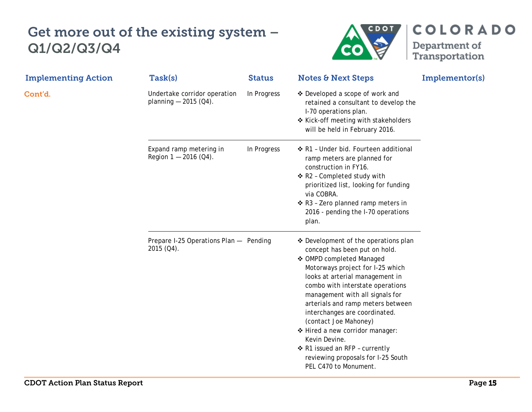

**COLORADO** Department of<br>Transportation

| <b>Implementing Action</b> | Task(s)                                                 | <b>Status</b> | <b>Notes &amp; Next Steps</b>                                                                                                                                                                                                                                                                                                                                                                                                                                                                       | Implementor(s) |
|----------------------------|---------------------------------------------------------|---------------|-----------------------------------------------------------------------------------------------------------------------------------------------------------------------------------------------------------------------------------------------------------------------------------------------------------------------------------------------------------------------------------------------------------------------------------------------------------------------------------------------------|----------------|
| Cont'd.                    | Undertake corridor operation<br>planning $-$ 2015 (Q4). | In Progress   | ❖ Developed a scope of work and<br>retained a consultant to develop the<br>I-70 operations plan.<br>❖ Kick-off meeting with stakeholders<br>will be held in February 2016.                                                                                                                                                                                                                                                                                                                          |                |
|                            | Expand ramp metering in<br>Region $1 - 2016$ (Q4).      | In Progress   | ❖ R1 - Under bid. Fourteen additional<br>ramp meters are planned for<br>construction in FY16.<br>❖ R2 - Completed study with<br>prioritized list, looking for funding<br>via COBRA.<br>❖ R3 - Zero planned ramp meters in<br>2016 - pending the I-70 operations<br>plan.                                                                                                                                                                                                                            |                |
|                            | Prepare I-25 Operations Plan - Pending<br>2015 (Q4).    |               | ❖ Development of the operations plan<br>concept has been put on hold.<br>❖ OMPD completed Managed<br>Motorways project for I-25 which<br>looks at arterial management in<br>combo with interstate operations<br>management with all signals for<br>arterials and ramp meters between<br>interchanges are coordinated.<br>(contact Joe Mahoney)<br>❖ Hired a new corridor manager:<br>Kevin Devine.<br>❖ R1 issued an RFP - currently<br>reviewing proposals for I-25 South<br>PEL C470 to Monument. |                |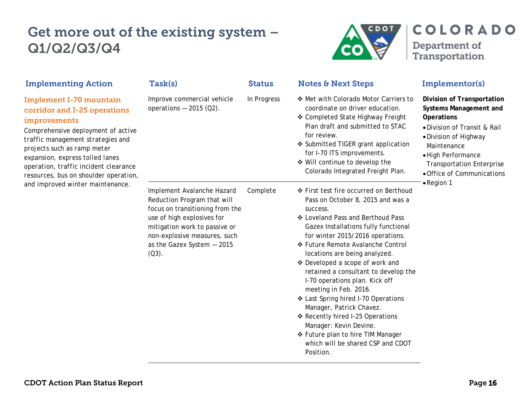

| <b>Implementing Action</b>                                                                                                                                                                                                                                                                                    | Task(s)                                                                                                                                                                                                                               | <b>Status</b> | <b>Notes &amp; Next Steps</b>                                                                                                                                                                                                                                                                                                                                                                                                                                                                                                                                                                                                                | Implementor(s)                                                                                                                                                                                                                            |
|---------------------------------------------------------------------------------------------------------------------------------------------------------------------------------------------------------------------------------------------------------------------------------------------------------------|---------------------------------------------------------------------------------------------------------------------------------------------------------------------------------------------------------------------------------------|---------------|----------------------------------------------------------------------------------------------------------------------------------------------------------------------------------------------------------------------------------------------------------------------------------------------------------------------------------------------------------------------------------------------------------------------------------------------------------------------------------------------------------------------------------------------------------------------------------------------------------------------------------------------|-------------------------------------------------------------------------------------------------------------------------------------------------------------------------------------------------------------------------------------------|
| <b>Implement I-70 mountain</b><br>corridor and I-25 operations<br>improvements<br>Comprehensive deployment of active<br>traffic management strategies and<br>projects such as ramp meter<br>expansion, express tolled lanes<br>operation, traffic incident clearance<br>resources, bus on shoulder operation, | Improve commercial vehicle<br>operations $-2015$ (Q2).                                                                                                                                                                                | In Progress   | ❖ Met with Colorado Motor Carriers to<br>coordinate on driver education.<br>❖ Completed State Highway Freight<br>Plan draft and submitted to STAC<br>for review.<br>❖ Submitted TIGER grant application<br>for I-70 ITS improvements.<br>❖ Will continue to develop the<br>Colorado Integrated Freight Plan.                                                                                                                                                                                                                                                                                                                                 | Division of Transportation<br>Systems Management and<br><b>Operations</b><br>• Division of Transit & Rail<br>• Division of Highway<br>Maintenance<br>• High Performance<br><b>Transportation Enterprise</b><br>• Office of Communications |
| and improved winter maintenance.                                                                                                                                                                                                                                                                              | Implement Avalanche Hazard<br>Reduction Program that will<br>focus on transitioning from the<br>use of high explosives for<br>mitigation work to passive or<br>non-explosive measures, such<br>as the Gazex System - 2015<br>$(Q3)$ . | Complete      | ❖ First test fire occurred on Berthoud<br>Pass on October 8, 2015 and was a<br>success.<br>❖ Loveland Pass and Berthoud Pass<br>Gazex Installations fully functional<br>for winter 2015/2016 operations.<br>❖ Future Remote Avalanche Control<br>locations are being analyzed.<br>❖ Developed a scope of work and<br>retained a consultant to develop the<br>I-70 operations plan. Kick off<br>meeting in Feb. 2016.<br>❖ Last Spring hired I-70 Operations<br>Manager, Patrick Chavez.<br>❖ Recently hired I-25 Operations<br>Manager: Kevin Devine.<br>❖ Future plan to hire TIM Manager<br>which will be shared CSP and CDOT<br>Position. | • Region 1                                                                                                                                                                                                                                |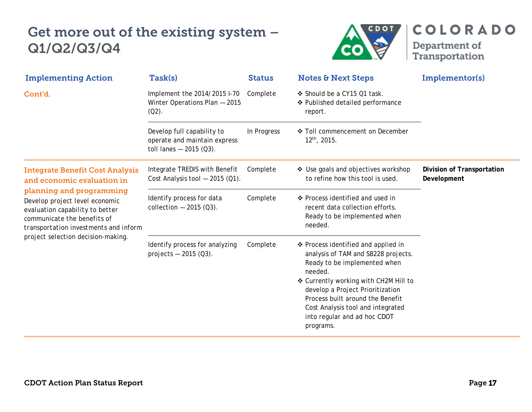

Department of<br>Transportation

**COLORADO** 

| <b>Implementing Action</b>                                                                                                                                                                                                                                                          | Task(s)                                                                                | <b>Status</b> | <b>Notes &amp; Next Steps</b>                                                                                                                                                                                                                                                                                            | Implementor(s)                            |
|-------------------------------------------------------------------------------------------------------------------------------------------------------------------------------------------------------------------------------------------------------------------------------------|----------------------------------------------------------------------------------------|---------------|--------------------------------------------------------------------------------------------------------------------------------------------------------------------------------------------------------------------------------------------------------------------------------------------------------------------------|-------------------------------------------|
| Cont'd.                                                                                                                                                                                                                                                                             | Implement the 2014/2015 I-70<br>Winter Operations Plan - 2015<br>$(Q2)$ .              | Complete      | ❖ Should be a CY15 Q1 task.<br>❖ Published detailed performance<br>report.                                                                                                                                                                                                                                               |                                           |
|                                                                                                                                                                                                                                                                                     | Develop full capability to<br>operate and maintain express<br>toll lanes $-2015$ (Q3). | In Progress   | ❖ Toll commencement on December<br>12th, 2015.                                                                                                                                                                                                                                                                           |                                           |
| <b>Integrate Benefit Cost Analysis</b><br>and economic evaluation in<br>planning and programming<br>Develop project level economic<br>evaluation capability to better<br>communicate the benefits of<br>transportation investments and inform<br>project selection decision-making. | Integrate TREDIS with Benefit<br>Cost Analysis tool $-2015$ (Q1).                      | Complete      | ❖ Use goals and objectives workshop<br>to refine how this tool is used.                                                                                                                                                                                                                                                  | Division of Transportation<br>Development |
|                                                                                                                                                                                                                                                                                     | Identify process for data<br>collection $-2015$ (Q3).                                  | Complete      | ❖ Process identified and used in<br>recent data collection efforts.<br>Ready to be implemented when<br>needed.                                                                                                                                                                                                           |                                           |
|                                                                                                                                                                                                                                                                                     | Identify process for analyzing<br>projects $-2015$ (Q3).                               | Complete      | ❖ Process identified and applied in<br>analysis of TAM and SB228 projects.<br>Ready to be implemented when<br>needed.<br>❖ Currently working with CH2M Hill to<br>develop a Project Prioritization<br>Process built around the Benefit<br>Cost Analysis tool and integrated<br>into regular and ad hoc CDOT<br>programs. |                                           |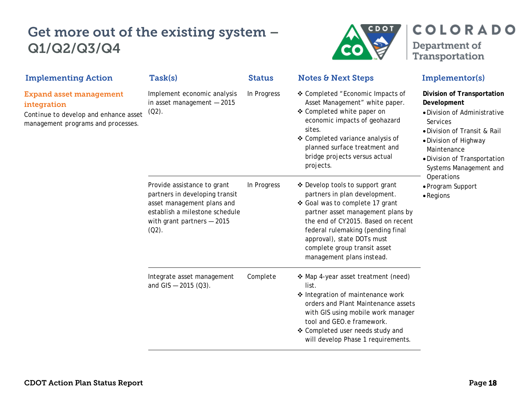

| <b>Implementing Action</b>                                                                                                   | Task(s)                                                                                                                                                                  | <b>Status</b> | <b>Notes &amp; Next Steps</b>                                                                                                                                                                                                                                                                                   | Implementor(s)                                                                                                                                                                                                                                                                  |
|------------------------------------------------------------------------------------------------------------------------------|--------------------------------------------------------------------------------------------------------------------------------------------------------------------------|---------------|-----------------------------------------------------------------------------------------------------------------------------------------------------------------------------------------------------------------------------------------------------------------------------------------------------------------|---------------------------------------------------------------------------------------------------------------------------------------------------------------------------------------------------------------------------------------------------------------------------------|
| <b>Expand asset management</b><br>integration<br>Continue to develop and enhance asset<br>management programs and processes. | Implement economic analysis<br>in asset management $-2015$<br>$(02)$ .                                                                                                   | In Progress   | ❖ Completed "Economic Impacts of<br>Asset Management" white paper.<br>❖ Completed white paper on<br>economic impacts of geohazard<br>sites.<br>❖ Completed variance analysis of<br>planned surface treatment and<br>bridge projects versus actual<br>projects.                                                  | Division of Transportation<br>Development<br>· Division of Administrative<br>Services<br>. Division of Transit & Rail<br>• Division of Highway<br>Maintenance<br>· Division of Transportation<br>Systems Management and<br>Operations<br>• Program Support<br>$\bullet$ Regions |
|                                                                                                                              | Provide assistance to grant<br>partners in developing transit<br>asset management plans and<br>establish a milestone schedule<br>with grant partners $-2015$<br>$(Q2)$ . | In Progress   | ❖ Develop tools to support grant<br>partners in plan development.<br>❖ Goal was to complete 17 grant<br>partner asset management plans by<br>the end of CY2015. Based on recent<br>federal rulemaking (pending final<br>approval), state DOTs must<br>complete group transit asset<br>management plans instead. |                                                                                                                                                                                                                                                                                 |
|                                                                                                                              | Integrate asset management<br>and GIS $- 2015 (03)$ .                                                                                                                    | Complete      | ❖ Map 4-year asset treatment (need)<br>list.<br>❖ Integration of maintenance work<br>orders and Plant Maintenance assets<br>with GIS using mobile work manager<br>tool and GEO.e framework.<br>❖ Completed user needs study and<br>will develop Phase 1 requirements.                                           |                                                                                                                                                                                                                                                                                 |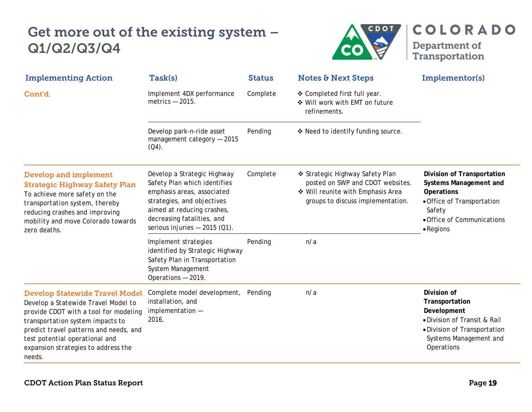

Department of<br>Transportation

**COLORADO** 

| <b>Implementing Action</b>                                                                                                                                                                                                                                                             | Task(s)                                                                                                                                                                                                               | <b>Status</b> | <b>Notes &amp; Next Steps</b>                                                                                                                 | Implementor(s)                                                                                                                                                       |
|----------------------------------------------------------------------------------------------------------------------------------------------------------------------------------------------------------------------------------------------------------------------------------------|-----------------------------------------------------------------------------------------------------------------------------------------------------------------------------------------------------------------------|---------------|-----------------------------------------------------------------------------------------------------------------------------------------------|----------------------------------------------------------------------------------------------------------------------------------------------------------------------|
| Cont'd.                                                                                                                                                                                                                                                                                | Implement 4DX performance<br>metrics $-2015$ .                                                                                                                                                                        | Complete      | ❖ Completed first full year.<br>❖ Will work with EMT on future<br>refinements.                                                                |                                                                                                                                                                      |
|                                                                                                                                                                                                                                                                                        | Develop park-n-ride asset<br>management category - 2015<br>$(Q4)$ .                                                                                                                                                   | Pending       | ❖ Need to identify funding source.                                                                                                            |                                                                                                                                                                      |
| <b>Develop and implement</b><br><b>Strategic Highway Safety Plan</b><br>To achieve more safety on the<br>transportation system, thereby<br>reducing crashes and improving<br>mobility and move Colorado towards<br>zero deaths.                                                        | Develop a Strategic Highway<br>Safety Plan which identifies<br>emphasis areas, associated<br>strategies, and objectives<br>aimed at reducing crashes,<br>decreasing fatalities, and<br>serious injuries $-2015$ (Q1). | Complete      | ❖ Strategic Highway Safety Plan<br>posted on SWP and CDOT websites.<br>❖ Will reunite with Emphasis Area<br>groups to discuss implementation. | Division of Transportation<br>Systems Management and<br><b>Operations</b><br>• Office of Transportation<br>Safety<br>• Office of Communications<br>$\bullet$ Regions |
|                                                                                                                                                                                                                                                                                        | Implement strategies<br>identified by Strategic Highway<br>Safety Plan in Transportation<br>System Management<br>Operations - 2019.                                                                                   | Pending       | n/a                                                                                                                                           |                                                                                                                                                                      |
| <b>Develop Statewide Travel Model</b><br>Develop a Statewide Travel Model to<br>provide CDOT with a tool for modeling<br>transportation system impacts to<br>predict travel patterns and needs, and<br>test potential operational and<br>expansion strategies to address the<br>needs. | Complete model development,<br>installation, and<br>implementation -<br>2016.                                                                                                                                         | Pending       | n/a                                                                                                                                           | Division of<br>Transportation<br>Development<br>· Division of Transit & Rail<br>• Division of Transportation<br>Systems Management and<br>Operations                 |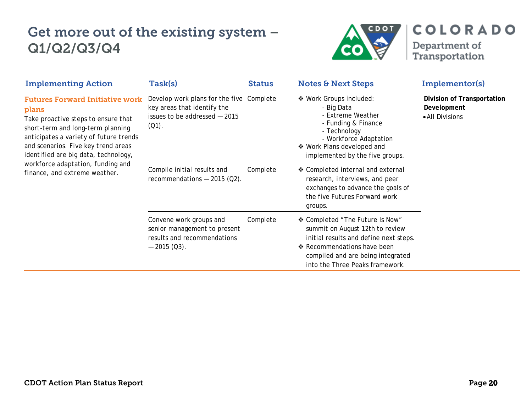

**COLORADO** Department of<br>Transportation

| <b>Implementing Action</b>                                                                                                                                                                                                                                                                                                 | Task(s)                                                                                                              | <b>Status</b> | <b>Notes &amp; Next Steps</b>                                                                                                                                                                                       | Implementor(s)                                               |
|----------------------------------------------------------------------------------------------------------------------------------------------------------------------------------------------------------------------------------------------------------------------------------------------------------------------------|----------------------------------------------------------------------------------------------------------------------|---------------|---------------------------------------------------------------------------------------------------------------------------------------------------------------------------------------------------------------------|--------------------------------------------------------------|
| <b>Futures Forward Initiative work</b><br>plans<br>Take proactive steps to ensure that<br>short-term and long-term planning<br>anticipates a variety of future trends<br>and scenarios. Five key trend areas<br>identified are big data, technology,<br>workforce adaptation, funding and<br>finance, and extreme weather. | Develop work plans for the five Complete<br>key areas that identify the<br>issues to be addressed - 2015<br>$(Q1)$ . |               | ❖ Work Groups included:<br>- Big Data<br>- Extreme Weather<br>- Funding & Finance<br>- Technology<br>- Workforce Adaptation<br>❖ Work Plans developed and<br>implemented by the five groups.                        | Division of Transportation<br>Development<br>• All Divisions |
|                                                                                                                                                                                                                                                                                                                            | Compile initial results and<br>recommendations $-2015$ (Q2).                                                         | Complete      | ❖ Completed internal and external<br>research, interviews, and peer<br>exchanges to advance the goals of<br>the five Futures Forward work<br>groups.                                                                |                                                              |
|                                                                                                                                                                                                                                                                                                                            | Convene work groups and<br>senior management to present<br>results and recommendations<br>$-2015(03)$ .              | Complete      | ❖ Completed "The Future Is Now"<br>summit on August 12th to review<br>initial results and define next steps.<br>❖ Recommendations have been<br>compiled and are being integrated<br>into the Three Peaks framework. |                                                              |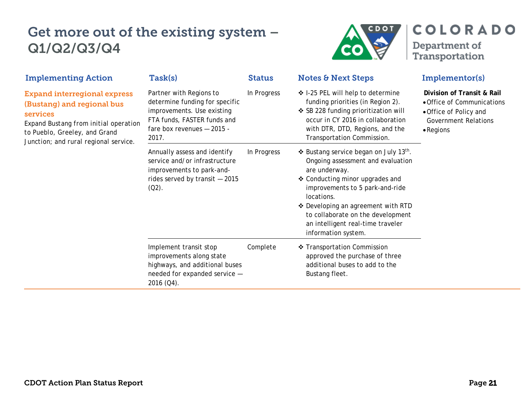

| <b>Implementing Action</b>                                                                                                                                                                       | <b>Task(s)</b>                                                                                                                                                | <b>Status</b> | <b>Notes &amp; Next Steps</b>                                                                                                                                                                                                                                                                                                       | Implementor(s)                                                                                                                         |
|--------------------------------------------------------------------------------------------------------------------------------------------------------------------------------------------------|---------------------------------------------------------------------------------------------------------------------------------------------------------------|---------------|-------------------------------------------------------------------------------------------------------------------------------------------------------------------------------------------------------------------------------------------------------------------------------------------------------------------------------------|----------------------------------------------------------------------------------------------------------------------------------------|
| <b>Expand interregional express</b><br>(Bustang) and regional bus<br>services<br>Expand Bustang from initial operation<br>to Pueblo, Greeley, and Grand<br>Junction; and rural regional service. | Partner with Regions to<br>determine funding for specific<br>improvements. Use existing<br>FTA funds, FASTER funds and<br>fare box revenues - 2015 -<br>2017. | In Progress   | ❖ I-25 PEL will help to determine<br>funding priorities (in Region 2).<br>❖ SB 228 funding prioritization will<br>occur in CY 2016 in collaboration<br>with DTR, DTD, Regions, and the<br>Transportation Commission.                                                                                                                | Division of Transit & Rail<br>• Office of Communications<br>• Office of Policy and<br><b>Government Relations</b><br>$\bullet$ Regions |
|                                                                                                                                                                                                  | Annually assess and identify<br>service and/or infrastructure<br>improvements to park-and-<br>rides served by transit $-2015$<br>$(Q2)$ .                     | In Progress   | ❖ Bustang service began on July 13 <sup>th</sup> .<br>Ongoing assessment and evaluation<br>are underway.<br>❖ Conducting minor upgrades and<br>improvements to 5 park-and-ride<br>locations.<br>❖ Developing an agreement with RTD<br>to collaborate on the development<br>an intelligent real-time traveler<br>information system. |                                                                                                                                        |
|                                                                                                                                                                                                  | Implement transit stop<br>improvements along state<br>highways, and additional buses<br>needed for expanded service -<br>2016 (Q4).                           | Complete      | ❖ Transportation Commission<br>approved the purchase of three<br>additional buses to add to the<br>Bustang fleet.                                                                                                                                                                                                                   |                                                                                                                                        |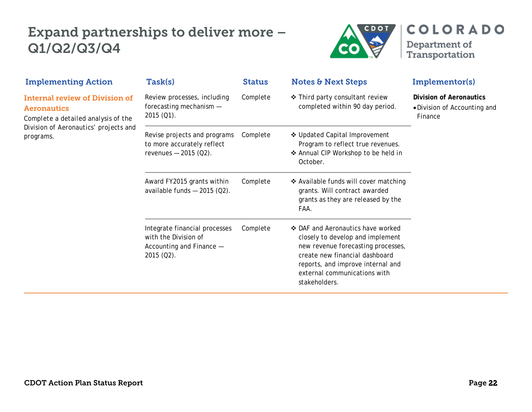### Expand partnerships to deliver more – Q1/Q2/Q3/Q4



| <b>Implementing Action</b>                                                                         | Task(s)                                                                                           | <b>Status</b> | <b>Notes &amp; Next Steps</b>                                                                                                                                                                                                       | Implementor(s)                                                            |
|----------------------------------------------------------------------------------------------------|---------------------------------------------------------------------------------------------------|---------------|-------------------------------------------------------------------------------------------------------------------------------------------------------------------------------------------------------------------------------------|---------------------------------------------------------------------------|
| <b>Internal review of Division of</b><br><b>Aeronautics</b><br>Complete a detailed analysis of the | Review processes, including<br>forecasting mechanism -<br>$2015(Q1)$ .                            | Complete      | ❖ Third party consultant review<br>completed within 90 day period.                                                                                                                                                                  | <b>Division of Aeronautics</b><br>• Division of Accounting and<br>Finance |
| Division of Aeronautics' projects and<br>programs.                                                 | Revise projects and programs<br>to more accurately reflect<br>revenues $-2015$ (Q2).              | Complete      | ❖ Updated Capital Improvement<br>Program to reflect true revenues.<br>❖ Annual CIP Workshop to be held in<br>October.                                                                                                               |                                                                           |
|                                                                                                    | Award FY2015 grants within<br>available funds $-2015$ (Q2).                                       | Complete      | ❖ Available funds will cover matching<br>grants. Will contract awarded<br>grants as they are released by the<br>FAA.                                                                                                                |                                                                           |
|                                                                                                    | Integrate financial processes<br>with the Division of<br>Accounting and Finance -<br>$2015(02)$ . | Complete      | ❖ DAF and Aeronautics have worked<br>closely to develop and implement<br>new revenue forecasting processes,<br>create new financial dashboard<br>reports, and improve internal and<br>external communications with<br>stakeholders. |                                                                           |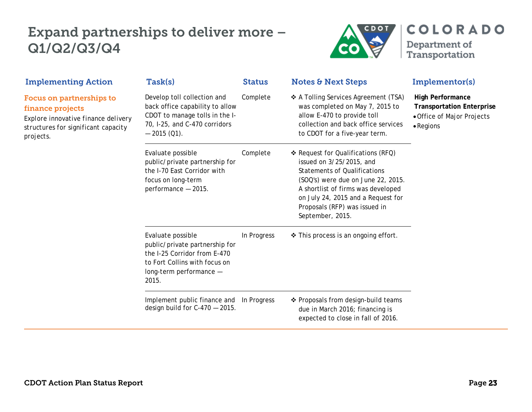#### Expand partnerships to deliver more – Q1/Q2/Q3/Q4



| <b>Implementing Action</b>                                                                                                              | Task(s)                                                                                                                                                  | <b>Status</b> | <b>Notes &amp; Next Steps</b>                                                                                                                                                                                                                                                | Implementor(s)                                                                                                 |
|-----------------------------------------------------------------------------------------------------------------------------------------|----------------------------------------------------------------------------------------------------------------------------------------------------------|---------------|------------------------------------------------------------------------------------------------------------------------------------------------------------------------------------------------------------------------------------------------------------------------------|----------------------------------------------------------------------------------------------------------------|
| Focus on partnerships to<br>finance projects<br>Explore innovative finance delivery<br>structures for significant capacity<br>projects. | Develop toll collection and<br>back office capability to allow<br>CDOT to manage tolls in the I-<br>70, I-25, and C-470 corridors<br>$-2015$ (Q1).       | Complete      | ❖ A Tolling Services Agreement (TSA)<br>was completed on May 7, 2015 to<br>allow E-470 to provide toll<br>collection and back office services<br>to CDOT for a five-year term.                                                                                               | <b>High Performance</b><br><b>Transportation Enterprise</b><br>• Office of Major Projects<br>$\bullet$ Regions |
|                                                                                                                                         | Evaluate possible<br>public/private partnership for<br>the I-70 East Corridor with<br>focus on long-term<br>performance - 2015.                          | Complete      | ❖ Request for Qualifications (RFQ)<br>issued on 3/25/2015, and<br><b>Statements of Qualifications</b><br>(SOQ's) were due on June 22, 2015.<br>A shortlist of firms was developed<br>on July 24, 2015 and a Request for<br>Proposals (RFP) was issued in<br>September, 2015. |                                                                                                                |
|                                                                                                                                         | Evaluate possible<br>public/private partnership for<br>the I-25 Corridor from E-470<br>to Fort Collins with focus on<br>long-term performance -<br>2015. | In Progress   | ❖ This process is an ongoing effort.                                                                                                                                                                                                                                         |                                                                                                                |
|                                                                                                                                         | Implement public finance and In Progress<br>design build for $C-470-2015$ .                                                                              |               | ❖ Proposals from design-build teams<br>due in March 2016; financing is<br>expected to close in fall of 2016.                                                                                                                                                                 |                                                                                                                |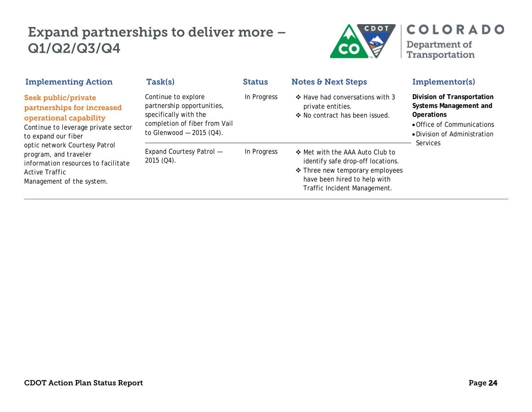## Expand partnerships to deliver more – Q1/Q2/Q3/Q4



| <b>Implementing Action</b>                                                                                                                                                                                                                                                                | Task(s)                                                                                                                                  | <b>Status</b> | <b>Notes &amp; Next Steps</b>                                                                                                                                           | Implementor(s)                                                                                                                                      |
|-------------------------------------------------------------------------------------------------------------------------------------------------------------------------------------------------------------------------------------------------------------------------------------------|------------------------------------------------------------------------------------------------------------------------------------------|---------------|-------------------------------------------------------------------------------------------------------------------------------------------------------------------------|-----------------------------------------------------------------------------------------------------------------------------------------------------|
| Seek public/private<br>partnerships for increased<br>operational capability<br>Continue to leverage private sector<br>to expand our fiber<br>optic network Courtesy Patrol<br>program, and traveler<br>information resources to facilitate<br>Active Traffic<br>Management of the system. | Continue to explore<br>partnership opportunities,<br>specifically with the<br>completion of fiber from Vail<br>to Glenwood $-2015$ (Q4). | In Progress   | ❖ Have had conversations with 3<br>private entities.<br>❖ No contract has been issued.                                                                                  | Division of Transportation<br>Systems Management and<br><b>Operations</b><br>• Office of Communications<br>• Division of Administration<br>Services |
|                                                                                                                                                                                                                                                                                           | Expand Courtesy Patrol -<br>$2015 (Q4)$ .                                                                                                | In Progress   | ❖ Met with the AAA Auto Club to<br>identify safe drop-off locations.<br>❖ Three new temporary employees<br>have been hired to help with<br>Traffic Incident Management. |                                                                                                                                                     |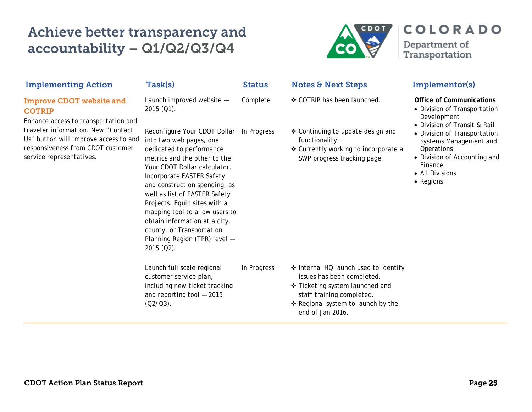# Achieve better transparency and accountability – Q1/Q2/Q3/Q4



| <b>Implementing Action</b>                                                                                                                    | Task(s)                                                                                                                                                                                                                                                                                                                                                                                                                                       | <b>Status</b> | <b>Notes &amp; Next Steps</b>                                                                                                                                                                 | Implementor(s)                                                                                                                                                                  |
|-----------------------------------------------------------------------------------------------------------------------------------------------|-----------------------------------------------------------------------------------------------------------------------------------------------------------------------------------------------------------------------------------------------------------------------------------------------------------------------------------------------------------------------------------------------------------------------------------------------|---------------|-----------------------------------------------------------------------------------------------------------------------------------------------------------------------------------------------|---------------------------------------------------------------------------------------------------------------------------------------------------------------------------------|
| <b>Improve CDOT website and</b><br><b>COTRIP</b><br>Enhance access to transportation and                                                      | Launch improved website -<br>$2015(Q1)$ .                                                                                                                                                                                                                                                                                                                                                                                                     | Complete      | ❖ COTRIP has been launched.                                                                                                                                                                   | <b>Office of Communications</b><br>• Division of Transportation<br>Development                                                                                                  |
| traveler information. New "Contact"<br>Us" button will improve access to and<br>responsiveness from CDOT customer<br>service representatives. | Reconfigure Your CDOT Dollar In Progress<br>into two web pages, one<br>dedicated to performance<br>metrics and the other to the<br>Your CDOT Dollar calculator.<br>Incorporate FASTER Safety<br>and construction spending, as<br>well as list of FASTER Safety<br>Projects. Equip sites with a<br>mapping tool to allow users to<br>obtain information at a city,<br>county, or Transportation<br>Planning Region (TPR) level -<br>2015 (Q2). |               | ❖ Continuing to update design and<br>functionality.<br>❖ Currently working to incorporate a<br>SWP progress tracking page.                                                                    | • Division of Transit & Rail<br>• Division of Transportation<br>Systems Management and<br>Operations<br>• Division of Accounting and<br>Finance<br>• All Divisions<br>• Regions |
|                                                                                                                                               | Launch full scale regional<br>customer service plan,<br>including new ticket tracking<br>and reporting tool $-2015$<br>$(Q2/Q3)$ .                                                                                                                                                                                                                                                                                                            | In Progress   | ❖ Internal HQ launch used to identify<br>issues has been completed.<br>❖ Ticketing system launched and<br>staff training completed.<br>❖ Regional system to launch by the<br>end of Jan 2016. |                                                                                                                                                                                 |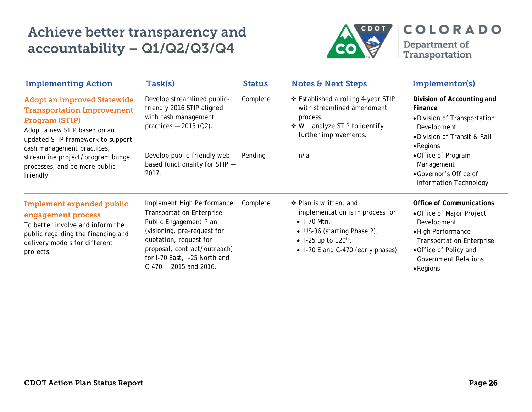# Achieve better transparency and accountability – Q1/Q2/Q3/Q4



| <b>Implementing Action</b>                                                                                                                                                                                                                                                      | Task(s)                                                                                                                                                                                                                                        | <b>Status</b> | <b>Notes &amp; Next Steps</b>                                                                                                                                                               | Implementor(s)                                                                                                                                                                                                      |
|---------------------------------------------------------------------------------------------------------------------------------------------------------------------------------------------------------------------------------------------------------------------------------|------------------------------------------------------------------------------------------------------------------------------------------------------------------------------------------------------------------------------------------------|---------------|---------------------------------------------------------------------------------------------------------------------------------------------------------------------------------------------|---------------------------------------------------------------------------------------------------------------------------------------------------------------------------------------------------------------------|
| <b>Adopt an improved Statewide</b><br><b>Transportation Improvement</b><br>Program (STIP)<br>Adopt a new STIP based on an<br>updated STIP framework to support<br>cash management practices,<br>streamline project/program budget<br>processes, and be more public<br>friendly. | Develop streamlined public-<br>friendly 2016 STIP aligned<br>with cash management<br>practices $-2015$ (Q2).                                                                                                                                   | Complete      | ❖ Established a rolling 4-year STIP<br>with streamlined amendment<br>process.<br>❖ Will analyze STIP to identify<br>further improvements.                                                   | Division of Accounting and<br>Finance<br>• Division of Transportation<br>Development<br>• Division of Transit & Rail<br>$\bullet$ Regions                                                                           |
|                                                                                                                                                                                                                                                                                 | Develop public-friendly web-<br>based functionality for STIP -<br>2017.                                                                                                                                                                        | Pending       | n/a                                                                                                                                                                                         | • Office of Program<br>Management<br>• Governor's Office of<br>Information Technology                                                                                                                               |
| <b>Implement expanded public</b><br>engagement process<br>To better involve and inform the<br>public regarding the financing and<br>delivery models for different<br>projects.                                                                                                  | Implement High Performance<br><b>Transportation Enterprise</b><br>Public Engagement Plan<br>(visioning, pre-request for<br>quotation, request for<br>proposal, contract/outreach)<br>for I-70 East, I-25 North and<br>$C-470 - 2015$ and 2016. | Complete      | ❖ Plan is written, and<br>implementation is in process for:<br>$\bullet$ I-70 Mtn,<br>• US-36 (starting Phase 2),<br>• 1-25 up to 120 <sup>th</sup> ,<br>• I-70 E and C-470 (early phases). | <b>Office of Communications</b><br>• Office of Major Project<br>Development<br>· High Performance<br><b>Transportation Enterprise</b><br>• Office of Policy and<br><b>Government Relations</b><br>$\bullet$ Regions |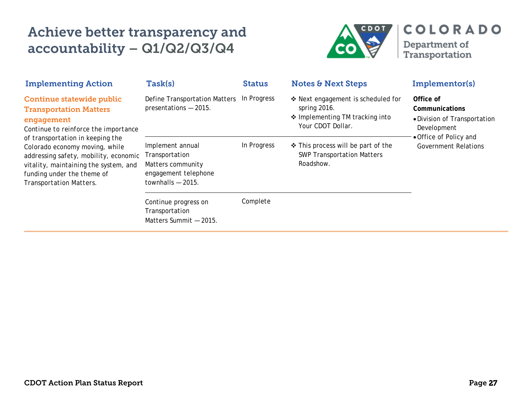# Achieve better transparency and accountability – Q1/Q2/Q3/Q4



| <b>Implementing Action</b>                                                                                                                                                                                                                                                                                                               | Task(s)                                                                                                | <b>Status</b> | <b>Notes &amp; Next Steps</b>                                                                              | Implementor(s)                                                                                                                      |
|------------------------------------------------------------------------------------------------------------------------------------------------------------------------------------------------------------------------------------------------------------------------------------------------------------------------------------------|--------------------------------------------------------------------------------------------------------|---------------|------------------------------------------------------------------------------------------------------------|-------------------------------------------------------------------------------------------------------------------------------------|
| Continue statewide public<br><b>Transportation Matters</b><br>engagement<br>Continue to reinforce the importance<br>of transportation in keeping the<br>Colorado economy moving, while<br>addressing safety, mobility, economic<br>vitality, maintaining the system, and<br>funding under the theme of<br><b>Transportation Matters.</b> | Define Transportation Matters<br>presentations - 2015.                                                 | In Progress   | ❖ Next engagement is scheduled for<br>spring 2016.<br>❖ Implementing TM tracking into<br>Your CDOT Dollar. | Office of<br>Communications<br>• Division of Transportation<br>Development<br>• Office of Policy and<br><b>Government Relations</b> |
|                                                                                                                                                                                                                                                                                                                                          | Implement annual<br>Transportation<br>Matters community<br>engagement telephone<br>townhalls $-2015$ . | In Progress   | ❖ This process will be part of the<br><b>SWP Transportation Matters</b><br>Roadshow.                       |                                                                                                                                     |
|                                                                                                                                                                                                                                                                                                                                          | Continue progress on<br>Transportation<br>Matters Summit - 2015.                                       | Complete      |                                                                                                            |                                                                                                                                     |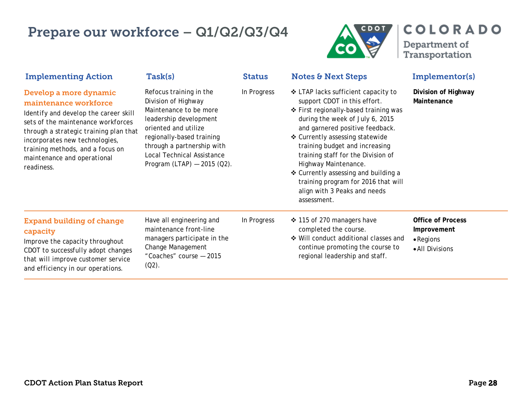### Prepare our workforce – Q1/Q2/Q3/Q4



Department of<br>Transportation

**COLORADO** 

| <b>Implementing Action</b>                                                                                                                                                                                                                                                                  | Task(s)                                                                                                                                                                                                                                                     | <b>Status</b> | <b>Notes &amp; Next Steps</b>                                                                                                                                                                                                                                                                                                                                                                                                                       | Implementor(s)                                                                  |
|---------------------------------------------------------------------------------------------------------------------------------------------------------------------------------------------------------------------------------------------------------------------------------------------|-------------------------------------------------------------------------------------------------------------------------------------------------------------------------------------------------------------------------------------------------------------|---------------|-----------------------------------------------------------------------------------------------------------------------------------------------------------------------------------------------------------------------------------------------------------------------------------------------------------------------------------------------------------------------------------------------------------------------------------------------------|---------------------------------------------------------------------------------|
| Develop a more dynamic<br>maintenance workforce<br>Identify and develop the career skill<br>sets of the maintenance workforces<br>through a strategic training plan that<br>incorporates new technologies,<br>training methods, and a focus on<br>maintenance and operational<br>readiness. | Refocus training in the<br>Division of Highway<br>Maintenance to be more<br>leadership development<br>oriented and utilize<br>regionally-based training<br>through a partnership with<br><b>Local Technical Assistance</b><br>Program (LTAP) $-$ 2015 (Q2). | In Progress   | ❖ LTAP lacks sufficient capacity to<br>support CDOT in this effort.<br>❖ First regionally-based training was<br>during the week of July 6, 2015<br>and garnered positive feedback.<br>❖ Currently assessing statewide<br>training budget and increasing<br>training staff for the Division of<br>Highway Maintenance.<br>❖ Currently assessing and building a<br>training program for 2016 that will<br>align with 3 Peaks and needs<br>assessment. | Division of Highway<br>Maintenance                                              |
| <b>Expand building of change</b><br>capacity<br>Improve the capacity throughout<br>CDOT to successfully adopt changes<br>that will improve customer service<br>and efficiency in our operations.                                                                                            | Have all engineering and<br>maintenance front-line<br>managers participate in the<br>Change Management<br>"Coaches" course - 2015<br>$(Q2)$ .                                                                                                               | In Progress   | ❖ 115 of 270 managers have<br>completed the course.<br>❖ Will conduct additional classes and<br>continue promoting the course to<br>regional leadership and staff.                                                                                                                                                                                                                                                                                  | <b>Office of Process</b><br>Improvement<br>$\bullet$ Regions<br>• All Divisions |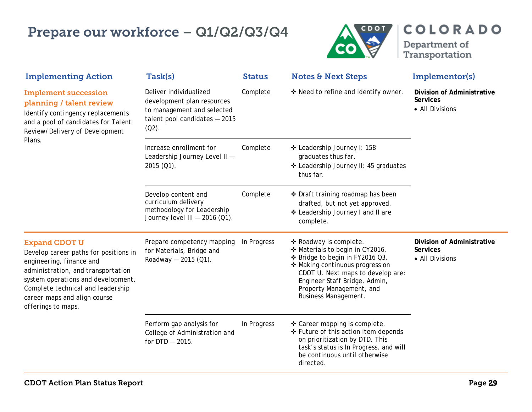### Prepare our workforce – Q1/Q2/Q3/Q4



| <b>Implementing Action</b>                                                                                                                                                                                                                                       | Task(s)                                                                                                                         | <b>Status</b> | <b>Notes &amp; Next Steps</b>                                                                                                                                                                                                                                    | Implementor(s)                                                   |
|------------------------------------------------------------------------------------------------------------------------------------------------------------------------------------------------------------------------------------------------------------------|---------------------------------------------------------------------------------------------------------------------------------|---------------|------------------------------------------------------------------------------------------------------------------------------------------------------------------------------------------------------------------------------------------------------------------|------------------------------------------------------------------|
| <b>Implement succession</b><br>planning / talent review<br>Identify contingency replacements<br>and a pool of candidates for Talent<br>Review/Delivery of Development                                                                                            | Deliver individualized<br>development plan resources<br>to management and selected<br>talent pool candidates - 2015<br>$(02)$ . | Complete      | ❖ Need to refine and identify owner.                                                                                                                                                                                                                             | Division of Administrative<br>Services<br>• All Divisions        |
| Plans.                                                                                                                                                                                                                                                           | Increase enrollment for<br>Leadership Journey Level II -<br>2015 (Q1).                                                          | Complete      | ❖ Leadership Journey I: 158<br>graduates thus far.<br>❖ Leadership Journey II: 45 graduates<br>thus far.                                                                                                                                                         |                                                                  |
|                                                                                                                                                                                                                                                                  | Develop content and<br>curriculum delivery<br>methodology for Leadership<br>Journey level III $-2016$ (Q1).                     | Complete      | ❖ Draft training roadmap has been<br>drafted, but not yet approved.<br>❖ Leadership Journey I and II are<br>complete.                                                                                                                                            |                                                                  |
| <b>Expand CDOT U</b><br>Develop career paths for positions in<br>engineering, finance and<br>administration, and transportation<br>system operations and development.<br>Complete technical and leadership<br>career maps and align course<br>offerings to maps. | Prepare competency mapping<br>for Materials, Bridge and<br>Roadway $-$ 2015 (Q1).                                               | In Progress   | * Roadway is complete.<br>❖ Materials to begin in CY2016.<br>❖ Bridge to begin in FY2016 Q3.<br>❖ Making continuous progress on<br>CDOT U. Next maps to develop are:<br>Engineer Staff Bridge, Admin,<br>Property Management, and<br><b>Business Management.</b> | Division of Administrative<br><b>Services</b><br>• All Divisions |
|                                                                                                                                                                                                                                                                  | Perform gap analysis for<br>College of Administration and<br>for $DTD - 2015$ .                                                 | In Progress   | ❖ Career mapping is complete.<br>❖ Future of this action item depends<br>on prioritization by DTD. This<br>task's status is In Progress, and will<br>be continuous until otherwise<br>directed.                                                                  |                                                                  |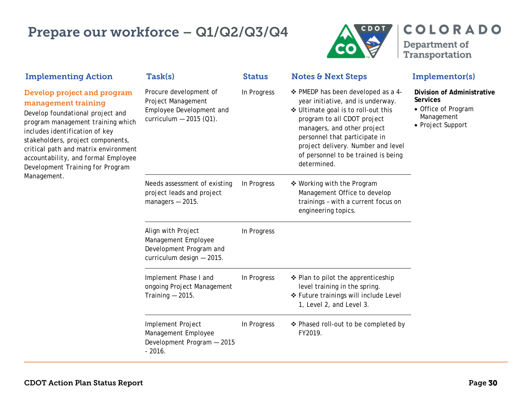### Prepare our workforce – Q1/Q2/Q3/Q4



Department of<br>Transportation

**COLORADO** 

| <b>Implementing Action</b>                                                                                                                                                                                                                                                                                                           | Task(s)                                                                                              | <b>Status</b> | <b>Notes &amp; Next Steps</b>                                                                                                                                                                                                                                                                             | Implementor(s)                                                                                          |
|--------------------------------------------------------------------------------------------------------------------------------------------------------------------------------------------------------------------------------------------------------------------------------------------------------------------------------------|------------------------------------------------------------------------------------------------------|---------------|-----------------------------------------------------------------------------------------------------------------------------------------------------------------------------------------------------------------------------------------------------------------------------------------------------------|---------------------------------------------------------------------------------------------------------|
| Develop project and program<br>management training<br>Develop foundational project and<br>program management training which<br>includes identification of key<br>stakeholders, project components,<br>critical path and matrix environment<br>accountability, and formal Employee<br>Development Training for Program<br>Management. | Procure development of<br>Project Management<br>Employee Development and<br>curriculum $-2015$ (Q1). | In Progress   | ❖ PMEDP has been developed as a 4-<br>year initiative, and is underway.<br>❖ Ultimate goal is to roll-out this<br>program to all CDOT project<br>managers, and other project<br>personnel that participate in<br>project delivery. Number and level<br>of personnel to be trained is being<br>determined. | Division of Administrative<br><b>Services</b><br>• Office of Program<br>Management<br>• Project Support |
|                                                                                                                                                                                                                                                                                                                                      | Needs assessment of existing<br>project leads and project<br>managers $-2015$ .                      | In Progress   | ❖ Working with the Program<br>Management Office to develop<br>trainings - with a current focus on<br>engineering topics.                                                                                                                                                                                  |                                                                                                         |
|                                                                                                                                                                                                                                                                                                                                      | Align with Project<br>Management Employee<br>Development Program and<br>curriculum design - 2015.    | In Progress   |                                                                                                                                                                                                                                                                                                           |                                                                                                         |
|                                                                                                                                                                                                                                                                                                                                      | Implement Phase I and<br>ongoing Project Management<br>Training $-2015$ .                            | In Progress   | ❖ Plan to pilot the apprenticeship<br>level training in the spring.<br>❖ Future trainings will include Level<br>1, Level 2, and Level 3.                                                                                                                                                                  |                                                                                                         |
|                                                                                                                                                                                                                                                                                                                                      | Implement Project<br>Management Employee<br>Development Program - 2015<br>$-2016.$                   | In Progress   | ❖ Phased roll-out to be completed by<br>FY2019.                                                                                                                                                                                                                                                           |                                                                                                         |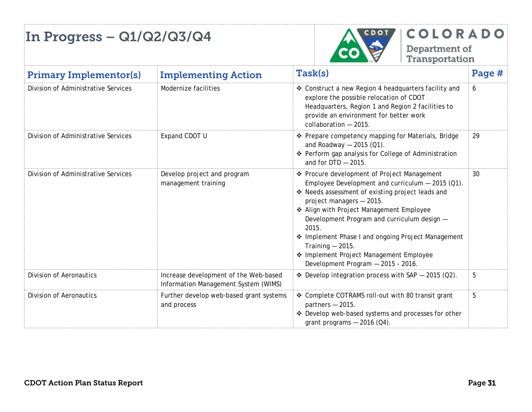

| <b>Primary Implementor(s)</b>       | <b>Implementing Action</b>                                                    | Task(s)                                                                                                                                                                                                                                                                                                                                                                                                                                            | Page # |
|-------------------------------------|-------------------------------------------------------------------------------|----------------------------------------------------------------------------------------------------------------------------------------------------------------------------------------------------------------------------------------------------------------------------------------------------------------------------------------------------------------------------------------------------------------------------------------------------|--------|
| Division of Administrative Services | Modernize facilities                                                          | ❖ Construct a new Region 4 headquarters facility and<br>explore the possible relocation of CDOT<br>Headquarters, Region 1 and Region 2 facilities to<br>provide an environment for better work<br>collaboration - 2015.                                                                                                                                                                                                                            | 6      |
| Division of Administrative Services | Expand CDOT U                                                                 | ❖ Prepare competency mapping for Materials, Bridge<br>and Roadway $-$ 2015 (Q1).<br>❖ Perform gap analysis for College of Administration<br>and for $DTD - 2015$ .                                                                                                                                                                                                                                                                                 | 29     |
| Division of Administrative Services | Develop project and program<br>management training                            | ❖ Procure development of Project Management<br>Employee Development and curriculum $-$ 2015 (Q1).<br>❖ Needs assessment of existing project leads and<br>project managers - 2015.<br>* Align with Project Management Employee<br>Development Program and curriculum design -<br>2015.<br>❖ Implement Phase I and ongoing Project Management<br>Training $-2015$ .<br>* Implement Project Management Employee<br>Development Program - 2015 - 2016. | 30     |
| <b>Division of Aeronautics</b>      | Increase development of the Web-based<br>Information Management System (WIMS) | ❖ Develop integration process with SAP $-$ 2015 (Q2).                                                                                                                                                                                                                                                                                                                                                                                              | 5      |
| <b>Division of Aeronautics</b>      | Further develop web-based grant systems<br>and process                        | ❖ Complete COTRAMS roll-out with 80 transit grant<br>partners $-2015$ .<br>Develop web-based systems and processes for other<br>grant programs $-2016$ (Q4).                                                                                                                                                                                                                                                                                       | 5      |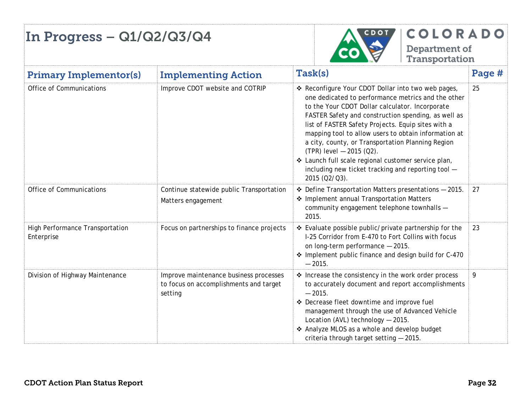

| <b>Primary Implementor(s)</b>                 | <b>Implementing Action</b>                                                                  | Task(s)                                                                                                                                                                                                                                                                                                                                                                                                                                                                                                                                             | Page # |
|-----------------------------------------------|---------------------------------------------------------------------------------------------|-----------------------------------------------------------------------------------------------------------------------------------------------------------------------------------------------------------------------------------------------------------------------------------------------------------------------------------------------------------------------------------------------------------------------------------------------------------------------------------------------------------------------------------------------------|--------|
| Office of Communications                      | Improve CDOT website and COTRIP                                                             | ❖ Reconfigure Your CDOT Dollar into two web pages,<br>one dedicated to performance metrics and the other<br>to the Your CDOT Dollar calculator. Incorporate<br>FASTER Safety and construction spending, as well as<br>list of FASTER Safety Projects. Equip sites with a<br>mapping tool to allow users to obtain information at<br>a city, county, or Transportation Planning Region<br>$(TPR)$ level $-$ 2015 (Q2).<br>❖ Launch full scale regional customer service plan,<br>including new ticket tracking and reporting tool -<br>2015 (Q2/Q3). | 25     |
| Office of Communications                      | Continue statewide public Transportation<br>Matters engagement                              | $\div$ Define Transportation Matters presentations $-2015$ .<br>❖ Implement annual Transportation Matters<br>community engagement telephone townhalls -<br>2015.                                                                                                                                                                                                                                                                                                                                                                                    | 27     |
| High Performance Transportation<br>Enterprise | Focus on partnerships to finance projects                                                   | ❖ Evaluate possible public/private partnership for the<br>I-25 Corridor from E-470 to Fort Collins with focus<br>on long-term performance - 2015.<br>* Implement public finance and design build for C-470<br>$-2015.$                                                                                                                                                                                                                                                                                                                              | 23     |
| Division of Highway Maintenance               | Improve maintenance business processes<br>to focus on accomplishments and target<br>setting | * Increase the consistency in the work order process<br>to accurately document and report accomplishments<br>$-2015.$<br>❖ Decrease fleet downtime and improve fuel<br>management through the use of Advanced Vehicle<br>Location (AVL) technology - 2015.<br>❖ Analyze MLOS as a whole and develop budget<br>criteria through target setting - 2015.                                                                                                                                                                                               | 9      |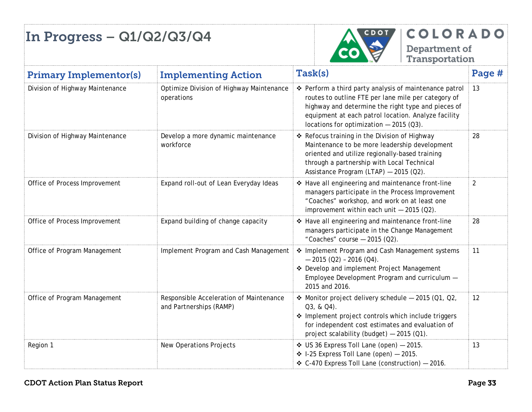

| <b>Primary Implementor(s)</b>   | <b>Implementing Action</b>                                         | Task(s)                                                                                                                                                                                                                                                                | Page #         |
|---------------------------------|--------------------------------------------------------------------|------------------------------------------------------------------------------------------------------------------------------------------------------------------------------------------------------------------------------------------------------------------------|----------------|
| Division of Highway Maintenance | Optimize Division of Highway Maintenance<br>operations             | ❖ Perform a third party analysis of maintenance patrol<br>routes to outline FTE per lane mile per category of<br>highway and determine the right type and pieces of<br>equipment at each patrol location. Analyze facility<br>locations for optimization $-2015(03)$ . | 13             |
| Division of Highway Maintenance | Develop a more dynamic maintenance<br>workforce                    | ❖ Refocus training in the Division of Highway<br>Maintenance to be more leadership development<br>oriented and utilize regionally-based training<br>through a partnership with Local Technical<br>Assistance Program (LTAP) - 2015 (Q2).                               | 28             |
| Office of Process Improvement   | Expand roll-out of Lean Everyday Ideas                             | * Have all engineering and maintenance front-line<br>managers participate in the Process Improvement<br>"Coaches" workshop, and work on at least one<br>improvement within each unit $-2015$ (Q2).                                                                     | $\overline{2}$ |
| Office of Process Improvement   | Expand building of change capacity                                 | * Have all engineering and maintenance front-line<br>managers participate in the Change Management<br>"Coaches" course $-$ 2015 (Q2).                                                                                                                                  | 28             |
| Office of Program Management    | Implement Program and Cash Management                              | * Implement Program and Cash Management systems<br>$-2015$ (Q2) - 2016 (Q4).<br>* Develop and implement Project Management<br>Employee Development Program and curriculum -<br>2015 and 2016.                                                                          | 11             |
| Office of Program Management    | Responsible Acceleration of Maintenance<br>and Partnerships (RAMP) | ❖ Monitor project delivery schedule - 2015 (Q1, Q2,<br>$Q3, 8, Q4$ .<br>❖ Implement project controls which include triggers<br>for independent cost estimates and evaluation of<br>project scalability (budget) - 2015 (Q1).                                           | 12             |
| Region 1                        | <b>New Operations Projects</b>                                     | ❖ US 36 Express Toll Lane (open) - 2015.<br>$\div$ 1-25 Express Toll Lane (open) - 2015.<br>❖ C-470 Express Toll Lane (construction) - 2016.                                                                                                                           | 13             |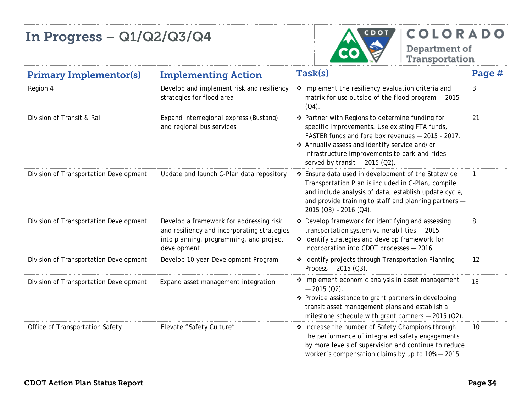

**COLORADO** Department of

Transportation

Primary Implementor(s) Implementing Action Task(s) Page # Region 4 **Develop and implement risk and resiliency** strategies for flood area  $\triangleq$  Implement the resiliency evaluation criteria and matrix for use outside of the flood program — 2015  $(Q4)$ . 3 Division of Transit & Rail Expand interregional express (Bustang) and regional bus services Partner with Regions to determine funding for specific improvements. Use existing FTA funds, FASTER funds and fare box revenues — 2015 - 2017. Annually assess and identify service and/or infrastructure improvements to park-and-rides served by transit  $-2015$  (Q2). 21 Division of Transportation Development Update and launch C-Plan data repository  $\ast$  Ensure data used in development of the Statewide Transportation Plan is included in C-Plan, compile and include analysis of data, establish update cycle, and provide training to staff and planning partners — 2015 (Q3) – 2016 (Q4). 1 Division of Transportation Development | Develop a framework for addressing risk and resiliency and incorporating strategies into planning, programming, and project development  $\div$  Develop framework for identifying and assessing transportation system vulnerabilities — 2015. Identify strategies and develop framework for incorporation into CDOT processes — 2016. 8 Division of Transportation Development Develop 10-year Development Program  $\cdot$  Identify projects through Transportation Planning Process — 2015 (Q3). 12 Division of Transportation Development Expand asset management integration  $\cdot$  **Implement economic analysis in asset management**  $-2015(02)$ .  $\triangle$  Provide assistance to grant partners in developing transit asset management plans and establish a milestone schedule with grant partners — 2015 (Q2). 18 Office of Transportation Safety **Elevate "Safety Culture"**  $\cdot$  Increase the number of Safety Champions through the performance of integrated safety engagements by more levels of supervision and continue to reduce worker's compensation claims by up to 10% — 2015. 10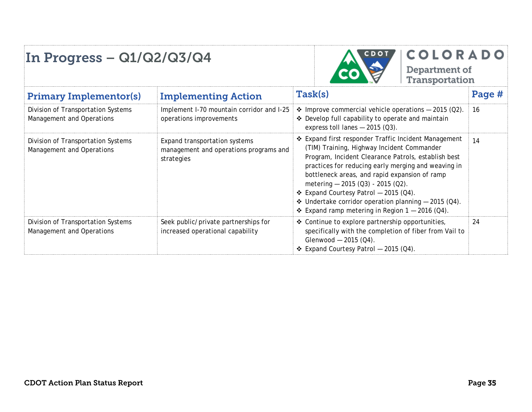

#### COLORADO

Department of<br>Transportation

| <b>Primary Implementor(s)</b>                                   | <b>Implementing Action</b>                                                            | Task(s)                                                                                                                                                                                                                                                                                                                                                                                                                                                                    | Page # |
|-----------------------------------------------------------------|---------------------------------------------------------------------------------------|----------------------------------------------------------------------------------------------------------------------------------------------------------------------------------------------------------------------------------------------------------------------------------------------------------------------------------------------------------------------------------------------------------------------------------------------------------------------------|--------|
| Division of Transportation Systems<br>Management and Operations | Implement I-70 mountain corridor and I-25<br>operations improvements                  | <b>❖</b> Improve commercial vehicle operations $-$ 2015 (Q2).<br>❖ Develop full capability to operate and maintain<br>express toll lanes $-2015$ (Q3).                                                                                                                                                                                                                                                                                                                     | 16     |
| Division of Transportation Systems<br>Management and Operations | Expand transportation systems<br>management and operations programs and<br>strategies | ❖ Expand first responder Traffic Incident Management<br>(TIM) Training, Highway Incident Commander<br>Program, Incident Clearance Patrols, establish best<br>practices for reducing early merging and weaving in<br>bottleneck areas, and rapid expansion of ramp<br>metering $-2015(03) - 2015(02)$ .<br>$\div$ Expand Courtesy Patrol - 2015 (Q4).<br><b>↓</b> Undertake corridor operation planning $-$ 2015 (Q4).<br>❖ Expand ramp metering in Region $1 - 2016$ (Q4). | 14     |
| Division of Transportation Systems<br>Management and Operations | Seek public/private partnerships for<br>increased operational capability              | ❖ Continue to explore partnership opportunities,<br>specifically with the completion of fiber from Vail to<br>Glenwood $-2015$ (Q4).<br>$\div$ Expand Courtesy Patrol - 2015 (Q4).                                                                                                                                                                                                                                                                                         | 24     |